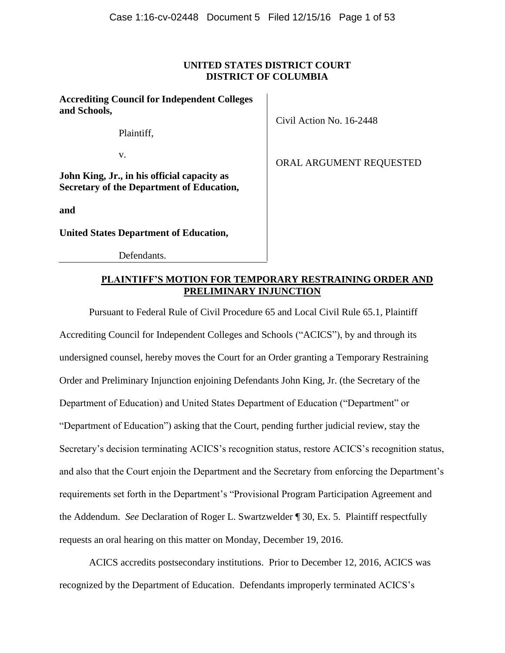# **UNITED STATES DISTRICT COURT DISTRICT OF COLUMBIA**

### **Accrediting Council for Independent Colleges and Schools,**

Plaintiff,

v.

**John King, Jr., in his official capacity as Secretary of the Department of Education,**

**and**

**United States Department of Education,**

Defendants.

Civil Action No. 16-2448

ORAL ARGUMENT REQUESTED

# **PLAINTIFF'S MOTION FOR TEMPORARY RESTRAINING ORDER AND PRELIMINARY INJUNCTION**

Pursuant to Federal Rule of Civil Procedure 65 and Local Civil Rule 65.1, Plaintiff Accrediting Council for Independent Colleges and Schools ("ACICS"), by and through its undersigned counsel, hereby moves the Court for an Order granting a Temporary Restraining Order and Preliminary Injunction enjoining Defendants John King, Jr. (the Secretary of the Department of Education) and United States Department of Education ("Department" or "Department of Education") asking that the Court, pending further judicial review, stay the Secretary's decision terminating ACICS's recognition status, restore ACICS's recognition status, and also that the Court enjoin the Department and the Secretary from enforcing the Department's requirements set forth in the Department's "Provisional Program Participation Agreement and the Addendum. *See* Declaration of Roger L. Swartzwelder ¶ 30, Ex. 5. Plaintiff respectfully requests an oral hearing on this matter on Monday, December 19, 2016.

ACICS accredits postsecondary institutions. Prior to December 12, 2016, ACICS was recognized by the Department of Education. Defendants improperly terminated ACICS's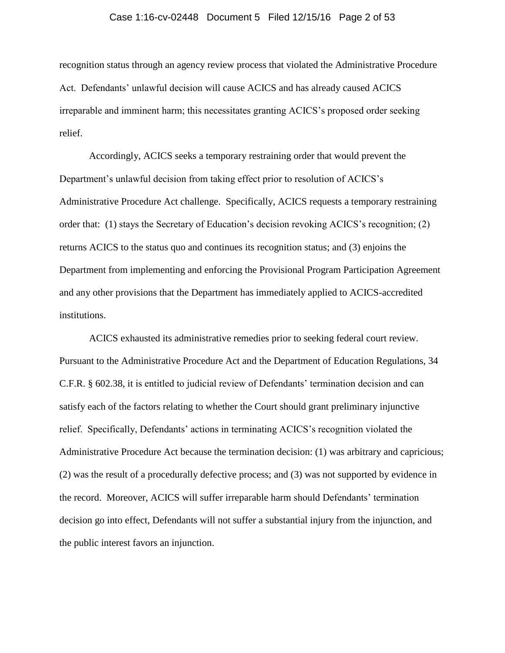#### Case 1:16-cv-02448 Document 5 Filed 12/15/16 Page 2 of 53

recognition status through an agency review process that violated the Administrative Procedure Act. Defendants' unlawful decision will cause ACICS and has already caused ACICS irreparable and imminent harm; this necessitates granting ACICS's proposed order seeking relief.

Accordingly, ACICS seeks a temporary restraining order that would prevent the Department's unlawful decision from taking effect prior to resolution of ACICS's Administrative Procedure Act challenge. Specifically, ACICS requests a temporary restraining order that: (1) stays the Secretary of Education's decision revoking ACICS's recognition; (2) returns ACICS to the status quo and continues its recognition status; and (3) enjoins the Department from implementing and enforcing the Provisional Program Participation Agreement and any other provisions that the Department has immediately applied to ACICS-accredited institutions.

ACICS exhausted its administrative remedies prior to seeking federal court review. Pursuant to the Administrative Procedure Act and the Department of Education Regulations, 34 C.F.R. § 602.38, it is entitled to judicial review of Defendants' termination decision and can satisfy each of the factors relating to whether the Court should grant preliminary injunctive relief. Specifically, Defendants' actions in terminating ACICS's recognition violated the Administrative Procedure Act because the termination decision: (1) was arbitrary and capricious; (2) was the result of a procedurally defective process; and (3) was not supported by evidence in the record. Moreover, ACICS will suffer irreparable harm should Defendants' termination decision go into effect, Defendants will not suffer a substantial injury from the injunction, and the public interest favors an injunction.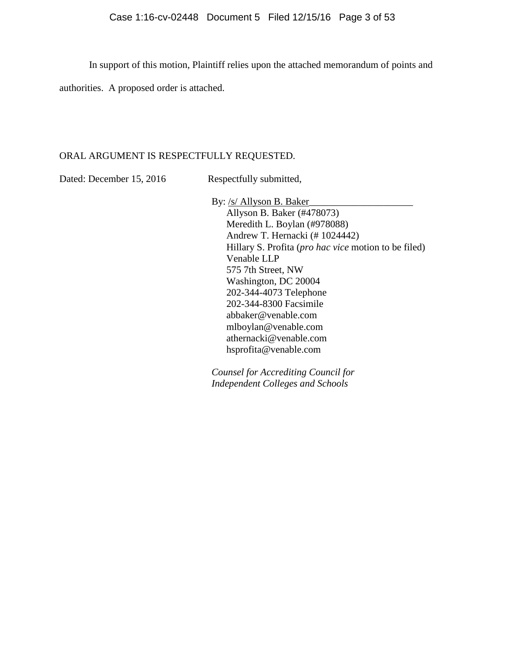In support of this motion, Plaintiff relies upon the attached memorandum of points and

authorities. A proposed order is attached.

# ORAL ARGUMENT IS RESPECTFULLY REQUESTED.

Dated: December 15, 2016 Respectfully submitted,

By: /s/ Allyson B. Baker\_ Allyson B. Baker (#478073) Meredith L. Boylan (#978088) Andrew T. Hernacki (# 1024442) Hillary S. Profita (*pro hac vice* motion to be filed) Venable LLP 575 7th Street, NW Washington, DC 20004 202-344-4073 Telephone 202-344-8300 Facsimile abbaker@venable.com mlboylan@venable.com athernacki@venable.com hsprofita@venable.com

*Counsel for Accrediting Council for Independent Colleges and Schools*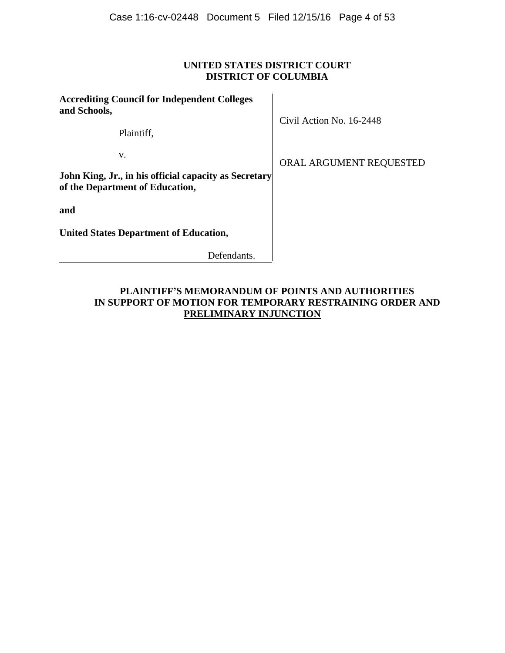# **UNITED STATES DISTRICT COURT DISTRICT OF COLUMBIA**

| <b>Accrediting Council for Independent Colleges</b><br>and Schools,                      | Civil Action No. 16-2448 |  |
|------------------------------------------------------------------------------------------|--------------------------|--|
| Plaintiff,                                                                               |                          |  |
| v.                                                                                       | ORAL ARGUMENT REQUESTED  |  |
| John King, Jr., in his official capacity as Secretary<br>of the Department of Education, |                          |  |
| and                                                                                      |                          |  |
| <b>United States Department of Education,</b>                                            |                          |  |
| Defendants.                                                                              |                          |  |

# **PLAINTIFF'S MEMORANDUM OF POINTS AND AUTHORITIES IN SUPPORT OF MOTION FOR TEMPORARY RESTRAINING ORDER AND PRELIMINARY INJUNCTION**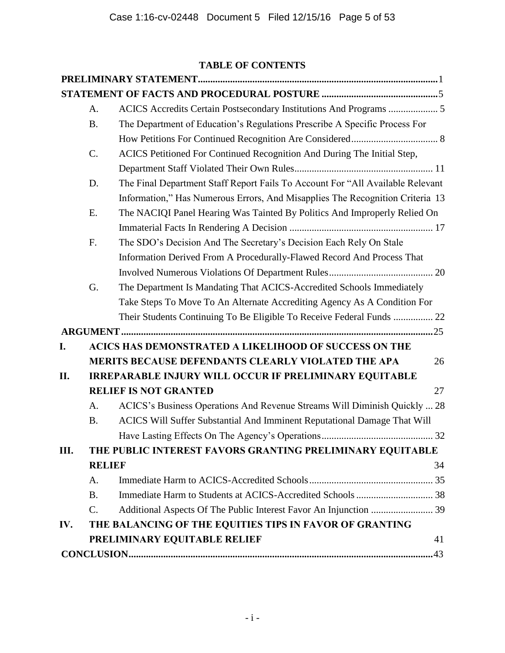# **TABLE OF CONTENTS**

|     | A.             |                                                                                |    |
|-----|----------------|--------------------------------------------------------------------------------|----|
|     | <b>B.</b>      | The Department of Education's Regulations Prescribe A Specific Process For     |    |
|     |                |                                                                                |    |
|     | C.             | ACICS Petitioned For Continued Recognition And During The Initial Step,        |    |
|     |                |                                                                                |    |
|     | D.             | The Final Department Staff Report Fails To Account For "All Available Relevant |    |
|     |                | Information," Has Numerous Errors, And Misapplies The Recognition Criteria 13  |    |
|     | E.             | The NACIQI Panel Hearing Was Tainted By Politics And Improperly Relied On      |    |
|     |                |                                                                                |    |
|     | F.             | The SDO's Decision And The Secretary's Decision Each Rely On Stale             |    |
|     |                | Information Derived From A Procedurally-Flawed Record And Process That         |    |
|     |                |                                                                                |    |
|     | G.             | The Department Is Mandating That ACICS-Accredited Schools Immediately          |    |
|     |                | Take Steps To Move To An Alternate Accrediting Agency As A Condition For       |    |
|     |                | Their Students Continuing To Be Eligible To Receive Federal Funds  22          |    |
|     |                |                                                                                |    |
| I.  |                | <b>ACICS HAS DEMONSTRATED A LIKELIHOOD OF SUCCESS ON THE</b>                   |    |
|     |                | MERITS BECAUSE DEFENDANTS CLEARLY VIOLATED THE APA                             | 26 |
| П.  |                | <b>IRREPARABLE INJURY WILL OCCUR IF PRELIMINARY EQUITABLE</b>                  |    |
|     |                | <b>RELIEF IS NOT GRANTED</b>                                                   | 27 |
|     | A.             | ACICS's Business Operations And Revenue Streams Will Diminish Quickly  28      |    |
|     | <b>B.</b>      | ACICS Will Suffer Substantial And Imminent Reputational Damage That Will       |    |
|     |                |                                                                                |    |
| Ш.  |                | THE PUBLIC INTEREST FAVORS GRANTING PRELIMINARY EQUITABLE                      |    |
|     | <b>RELIEF</b>  |                                                                                | 34 |
|     | A.             |                                                                                |    |
|     | <b>B.</b>      |                                                                                |    |
|     | $\mathbf{C}$ . |                                                                                |    |
| IV. |                | THE BALANCING OF THE EQUITIES TIPS IN FAVOR OF GRANTING                        |    |
|     |                | PRELIMINARY EQUITABLE RELIEF                                                   | 41 |
|     |                |                                                                                |    |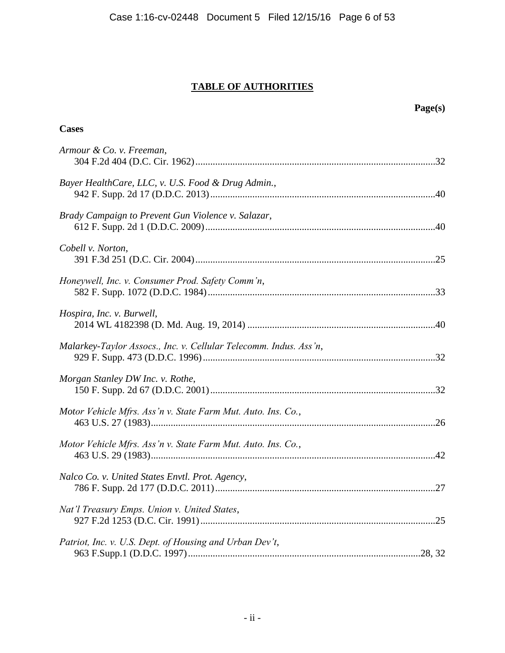# **TABLE OF AUTHORITIES**

| Page(s)                                                           |  |
|-------------------------------------------------------------------|--|
| <b>Cases</b>                                                      |  |
| Armour & Co. v. Freeman,                                          |  |
| Bayer HealthCare, LLC, v. U.S. Food & Drug Admin.,                |  |
| Brady Campaign to Prevent Gun Violence v. Salazar,                |  |
| Cobell v. Norton,                                                 |  |
| Honeywell, Inc. v. Consumer Prod. Safety Comm'n,                  |  |
| Hospira, Inc. v. Burwell,                                         |  |
| Malarkey-Taylor Assocs., Inc. v. Cellular Telecomm. Indus. Ass'n, |  |
| Morgan Stanley DW Inc. v. Rothe,                                  |  |
| Motor Vehicle Mfrs. Ass'n v. State Farm Mut. Auto. Ins. Co.,      |  |
| Motor Vehicle Mfrs. Ass'n v. State Farm Mut. Auto. Ins. Co.,      |  |
| Nalco Co. v. United States Envtl. Prot. Agency,                   |  |
| Nat'l Treasury Emps. Union v. United States,                      |  |
| Patriot, Inc. v. U.S. Dept. of Housing and Urban Dev't,           |  |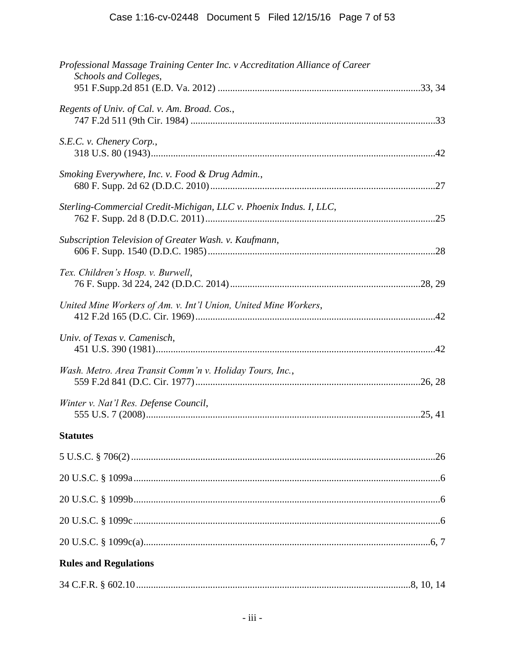| Professional Massage Training Center Inc. v Accreditation Alliance of Career<br>Schools and Colleges, |  |
|-------------------------------------------------------------------------------------------------------|--|
| Regents of Univ. of Cal. v. Am. Broad. Cos.,                                                          |  |
| S.E.C. v. Chenery Corp.,                                                                              |  |
| Smoking Everywhere, Inc. v. Food & Drug Admin.,                                                       |  |
| Sterling-Commercial Credit-Michigan, LLC v. Phoenix Indus. I, LLC,                                    |  |
| Subscription Television of Greater Wash. v. Kaufmann,                                                 |  |
| Tex. Children's Hosp. v. Burwell,                                                                     |  |
| United Mine Workers of Am. v. Int'l Union, United Mine Workers,                                       |  |
| Univ. of Texas v. Camenisch,                                                                          |  |
| Wash. Metro. Area Transit Comm'n v. Holiday Tours, Inc.,                                              |  |
| Winter v. Nat'l Res. Defense Council,                                                                 |  |
| <b>Statutes</b>                                                                                       |  |
|                                                                                                       |  |
|                                                                                                       |  |
|                                                                                                       |  |
|                                                                                                       |  |
|                                                                                                       |  |
| <b>Rules and Regulations</b>                                                                          |  |
|                                                                                                       |  |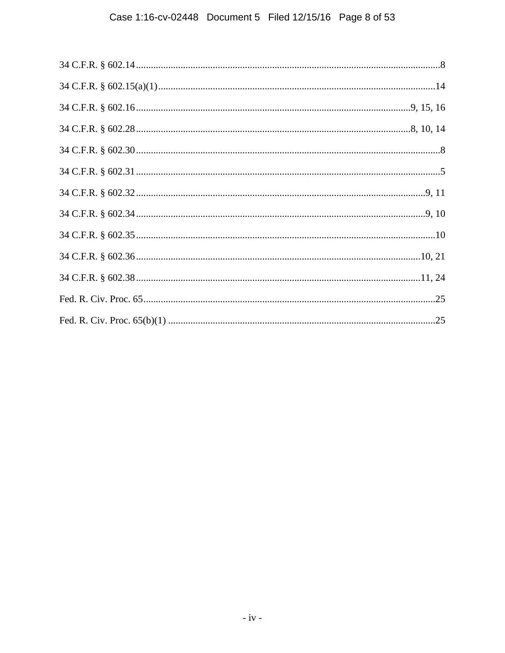# Case 1:16-cv-02448 Document 5 Filed 12/15/16 Page 8 of 53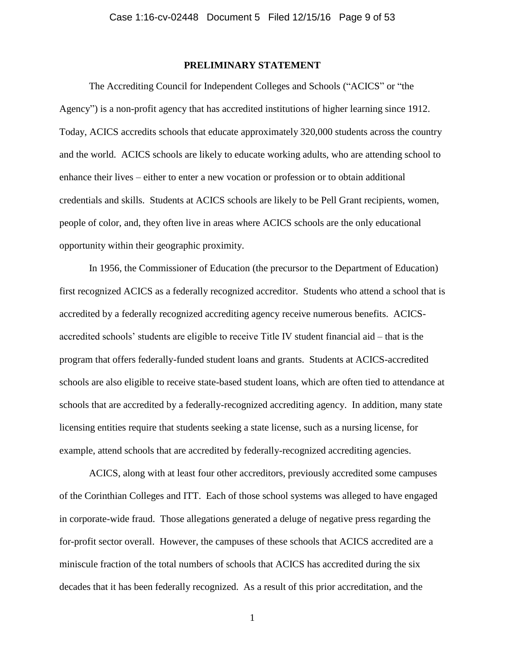### **PRELIMINARY STATEMENT**

<span id="page-8-0"></span>The Accrediting Council for Independent Colleges and Schools ("ACICS" or "the Agency") is a non-profit agency that has accredited institutions of higher learning since 1912. Today, ACICS accredits schools that educate approximately 320,000 students across the country and the world. ACICS schools are likely to educate working adults, who are attending school to enhance their lives – either to enter a new vocation or profession or to obtain additional credentials and skills. Students at ACICS schools are likely to be Pell Grant recipients, women, people of color, and, they often live in areas where ACICS schools are the only educational opportunity within their geographic proximity.

In 1956, the Commissioner of Education (the precursor to the Department of Education) first recognized ACICS as a federally recognized accreditor. Students who attend a school that is accredited by a federally recognized accrediting agency receive numerous benefits. ACICSaccredited schools' students are eligible to receive Title IV student financial aid – that is the program that offers federally-funded student loans and grants. Students at ACICS-accredited schools are also eligible to receive state-based student loans, which are often tied to attendance at schools that are accredited by a federally-recognized accrediting agency. In addition, many state licensing entities require that students seeking a state license, such as a nursing license, for example, attend schools that are accredited by federally-recognized accrediting agencies.

ACICS, along with at least four other accreditors, previously accredited some campuses of the Corinthian Colleges and ITT. Each of those school systems was alleged to have engaged in corporate-wide fraud. Those allegations generated a deluge of negative press regarding the for-profit sector overall. However, the campuses of these schools that ACICS accredited are a miniscule fraction of the total numbers of schools that ACICS has accredited during the six decades that it has been federally recognized. As a result of this prior accreditation, and the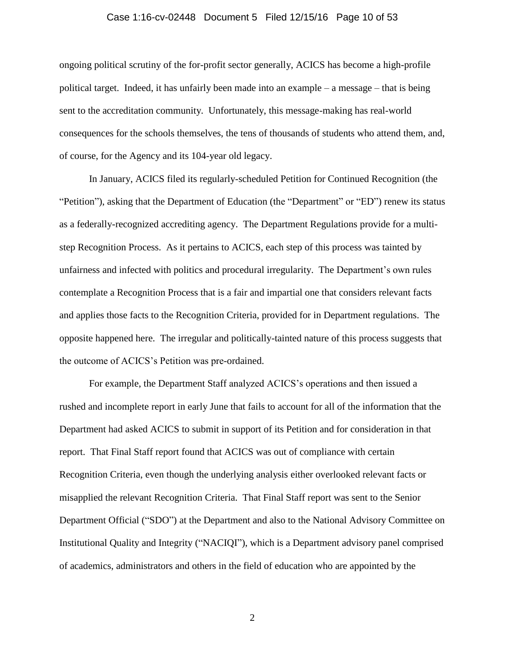#### Case 1:16-cv-02448 Document 5 Filed 12/15/16 Page 10 of 53

ongoing political scrutiny of the for-profit sector generally, ACICS has become a high-profile political target. Indeed, it has unfairly been made into an example – a message – that is being sent to the accreditation community. Unfortunately, this message-making has real-world consequences for the schools themselves, the tens of thousands of students who attend them, and, of course, for the Agency and its 104-year old legacy.

In January, ACICS filed its regularly-scheduled Petition for Continued Recognition (the "Petition"), asking that the Department of Education (the "Department" or "ED") renew its status as a federally-recognized accrediting agency. The Department Regulations provide for a multistep Recognition Process. As it pertains to ACICS, each step of this process was tainted by unfairness and infected with politics and procedural irregularity. The Department's own rules contemplate a Recognition Process that is a fair and impartial one that considers relevant facts and applies those facts to the Recognition Criteria, provided for in Department regulations. The opposite happened here. The irregular and politically-tainted nature of this process suggests that the outcome of ACICS's Petition was pre-ordained.

For example, the Department Staff analyzed ACICS's operations and then issued a rushed and incomplete report in early June that fails to account for all of the information that the Department had asked ACICS to submit in support of its Petition and for consideration in that report. That Final Staff report found that ACICS was out of compliance with certain Recognition Criteria, even though the underlying analysis either overlooked relevant facts or misapplied the relevant Recognition Criteria. That Final Staff report was sent to the Senior Department Official ("SDO") at the Department and also to the National Advisory Committee on Institutional Quality and Integrity ("NACIQI"), which is a Department advisory panel comprised of academics, administrators and others in the field of education who are appointed by the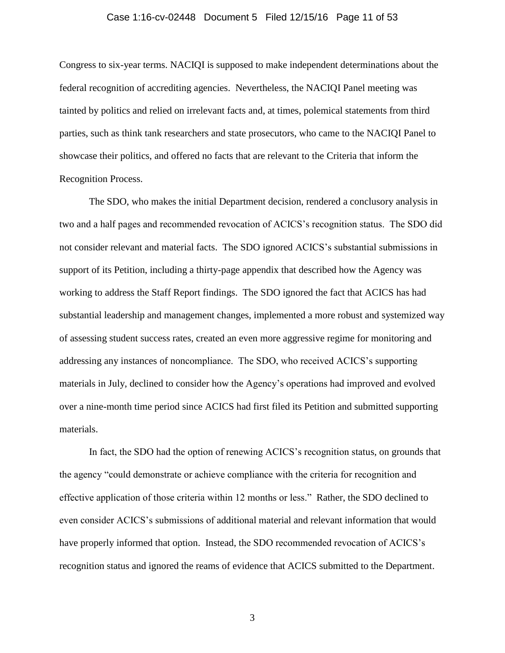#### Case 1:16-cv-02448 Document 5 Filed 12/15/16 Page 11 of 53

Congress to six-year terms. NACIQI is supposed to make independent determinations about the federal recognition of accrediting agencies. Nevertheless, the NACIQI Panel meeting was tainted by politics and relied on irrelevant facts and, at times, polemical statements from third parties, such as think tank researchers and state prosecutors, who came to the NACIQI Panel to showcase their politics, and offered no facts that are relevant to the Criteria that inform the Recognition Process.

The SDO, who makes the initial Department decision, rendered a conclusory analysis in two and a half pages and recommended revocation of ACICS's recognition status. The SDO did not consider relevant and material facts. The SDO ignored ACICS's substantial submissions in support of its Petition, including a thirty-page appendix that described how the Agency was working to address the Staff Report findings. The SDO ignored the fact that ACICS has had substantial leadership and management changes, implemented a more robust and systemized way of assessing student success rates, created an even more aggressive regime for monitoring and addressing any instances of noncompliance. The SDO, who received ACICS's supporting materials in July, declined to consider how the Agency's operations had improved and evolved over a nine-month time period since ACICS had first filed its Petition and submitted supporting materials.

In fact, the SDO had the option of renewing ACICS's recognition status, on grounds that the agency "could demonstrate or achieve compliance with the criteria for recognition and effective application of those criteria within 12 months or less." Rather, the SDO declined to even consider ACICS's submissions of additional material and relevant information that would have properly informed that option. Instead, the SDO recommended revocation of ACICS's recognition status and ignored the reams of evidence that ACICS submitted to the Department.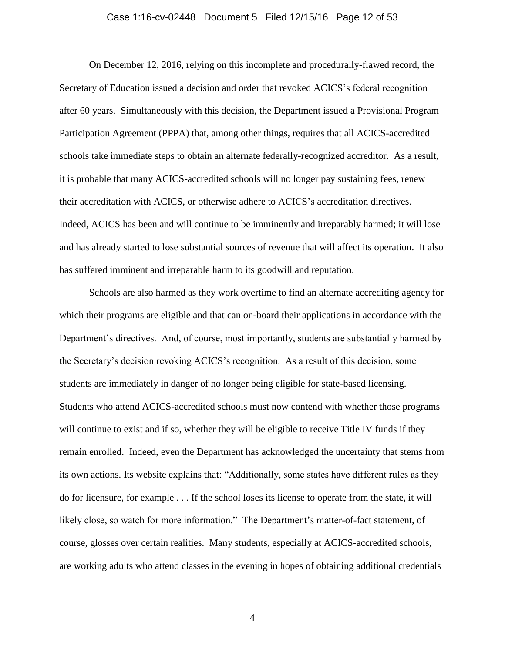#### Case 1:16-cv-02448 Document 5 Filed 12/15/16 Page 12 of 53

On December 12, 2016, relying on this incomplete and procedurally-flawed record, the Secretary of Education issued a decision and order that revoked ACICS's federal recognition after 60 years. Simultaneously with this decision, the Department issued a Provisional Program Participation Agreement (PPPA) that, among other things, requires that all ACICS-accredited schools take immediate steps to obtain an alternate federally-recognized accreditor. As a result, it is probable that many ACICS-accredited schools will no longer pay sustaining fees, renew their accreditation with ACICS, or otherwise adhere to ACICS's accreditation directives. Indeed, ACICS has been and will continue to be imminently and irreparably harmed; it will lose and has already started to lose substantial sources of revenue that will affect its operation. It also has suffered imminent and irreparable harm to its goodwill and reputation.

Schools are also harmed as they work overtime to find an alternate accrediting agency for which their programs are eligible and that can on-board their applications in accordance with the Department's directives. And, of course, most importantly, students are substantially harmed by the Secretary's decision revoking ACICS's recognition. As a result of this decision, some students are immediately in danger of no longer being eligible for state-based licensing. Students who attend ACICS-accredited schools must now contend with whether those programs will continue to exist and if so, whether they will be eligible to receive Title IV funds if they remain enrolled. Indeed, even the Department has acknowledged the uncertainty that stems from its own actions. Its website explains that: "Additionally, some states have different rules as they do for licensure, for example . . . If the school loses its license to operate from the state, it will likely close, so watch for more information." The Department's matter-of-fact statement, of course, glosses over certain realities. Many students, especially at ACICS-accredited schools, are working adults who attend classes in the evening in hopes of obtaining additional credentials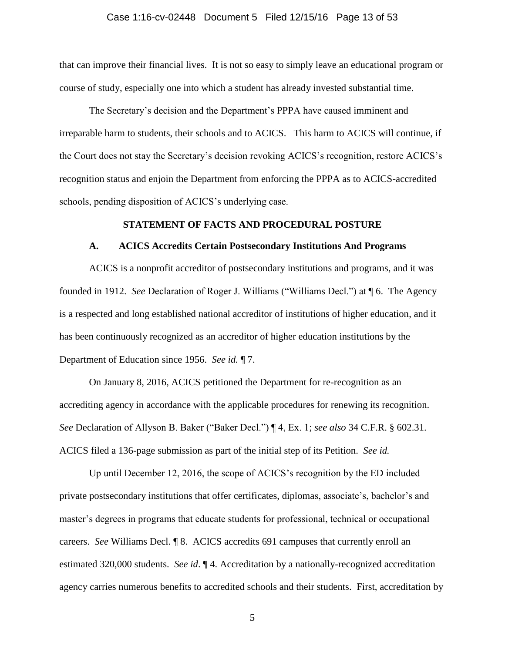#### Case 1:16-cv-02448 Document 5 Filed 12/15/16 Page 13 of 53

that can improve their financial lives. It is not so easy to simply leave an educational program or course of study, especially one into which a student has already invested substantial time.

The Secretary's decision and the Department's PPPA have caused imminent and irreparable harm to students, their schools and to ACICS. This harm to ACICS will continue, if the Court does not stay the Secretary's decision revoking ACICS's recognition, restore ACICS's recognition status and enjoin the Department from enforcing the PPPA as to ACICS-accredited schools, pending disposition of ACICS's underlying case.

#### **STATEMENT OF FACTS AND PROCEDURAL POSTURE**

#### <span id="page-12-0"></span>**A. ACICS Accredits Certain Postsecondary Institutions And Programs**

<span id="page-12-1"></span>ACICS is a nonprofit accreditor of postsecondary institutions and programs, and it was founded in 1912. *See* Declaration of Roger J. Williams ("Williams Decl.") at ¶ 6. The Agency is a respected and long established national accreditor of institutions of higher education, and it has been continuously recognized as an accreditor of higher education institutions by the Department of Education since 1956. *See id.* ¶ 7.

<span id="page-12-2"></span>On January 8, 2016, ACICS petitioned the Department for re-recognition as an accrediting agency in accordance with the applicable procedures for renewing its recognition. *See* Declaration of Allyson B. Baker ("Baker Decl.") ¶ 4, Ex. 1; *see also* 34 C.F.R. § 602.31. ACICS filed a 136-page submission as part of the initial step of its Petition. *See id.*

Up until December 12, 2016, the scope of ACICS's recognition by the ED included private postsecondary institutions that offer certificates, diplomas, associate's, bachelor's and master's degrees in programs that educate students for professional, technical or occupational careers. *See* Williams Decl. ¶ 8. ACICS accredits 691 campuses that currently enroll an estimated 320,000 students. *See id*. ¶ 4. Accreditation by a nationally-recognized accreditation agency carries numerous benefits to accredited schools and their students. First, accreditation by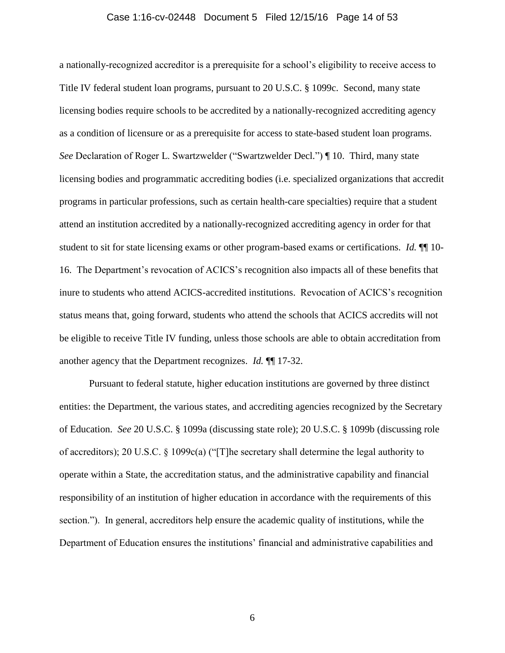#### <span id="page-13-2"></span>Case 1:16-cv-02448 Document 5 Filed 12/15/16 Page 14 of 53

a nationally-recognized accreditor is a prerequisite for a school's eligibility to receive access to Title IV federal student loan programs, pursuant to 20 U.S.C. § 1099c. Second, many state licensing bodies require schools to be accredited by a nationally-recognized accrediting agency as a condition of licensure or as a prerequisite for access to state-based student loan programs. *See* Declaration of Roger L. Swartzwelder ("Swartzwelder Decl.") ¶ 10. Third, many state licensing bodies and programmatic accrediting bodies (i.e. specialized organizations that accredit programs in particular professions, such as certain health-care specialties) require that a student attend an institution accredited by a nationally-recognized accrediting agency in order for that student to sit for state licensing exams or other program-based exams or certifications. *Id.*  $\P$  10-16. The Department's revocation of ACICS's recognition also impacts all of these benefits that inure to students who attend ACICS-accredited institutions. Revocation of ACICS's recognition status means that, going forward, students who attend the schools that ACICS accredits will not be eligible to receive Title IV funding, unless those schools are able to obtain accreditation from another agency that the Department recognizes. *Id.* ¶¶ 17-32.

<span id="page-13-3"></span><span id="page-13-1"></span><span id="page-13-0"></span>Pursuant to federal statute, higher education institutions are governed by three distinct entities: the Department, the various states, and accrediting agencies recognized by the Secretary of Education. *See* 20 U.S.C. § 1099a (discussing state role); 20 U.S.C. § 1099b (discussing role of accreditors); 20 U.S.C. § 1099c(a) ("[T]he secretary shall determine the legal authority to operate within a State, the accreditation status, and the administrative capability and financial responsibility of an institution of higher education in accordance with the requirements of this section."). In general, accreditors help ensure the academic quality of institutions, while the Department of Education ensures the institutions' financial and administrative capabilities and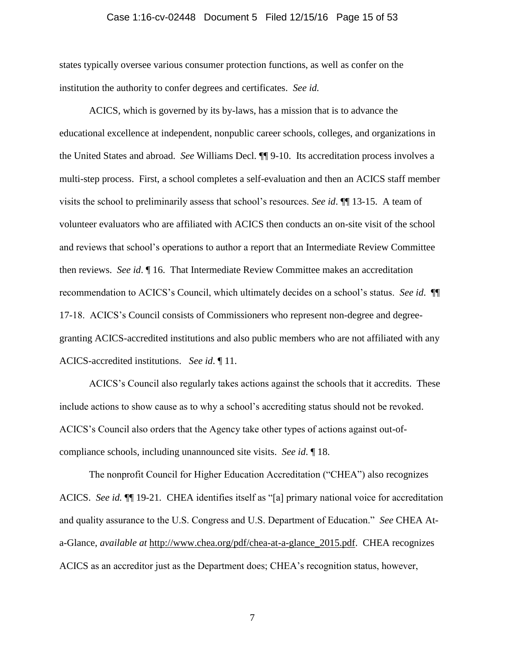#### <span id="page-14-0"></span>Case 1:16-cv-02448 Document 5 Filed 12/15/16 Page 15 of 53

states typically oversee various consumer protection functions, as well as confer on the institution the authority to confer degrees and certificates. *See id.*

ACICS, which is governed by its by-laws, has a mission that is to advance the educational excellence at independent, nonpublic career schools, colleges, and organizations in the United States and abroad. *See* Williams Decl. ¶¶ 9-10. Its accreditation process involves a multi-step process. First, a school completes a self-evaluation and then an ACICS staff member visits the school to preliminarily assess that school's resources. *See id*. ¶¶ 13-15. A team of volunteer evaluators who are affiliated with ACICS then conducts an on-site visit of the school and reviews that school's operations to author a report that an Intermediate Review Committee then reviews. *See id*. ¶ 16. That Intermediate Review Committee makes an accreditation recommendation to ACICS's Council, which ultimately decides on a school's status. *See id*. ¶¶ 17-18. ACICS's Council consists of Commissioners who represent non-degree and degreegranting ACICS-accredited institutions and also public members who are not affiliated with any ACICS-accredited institutions. *See id*. ¶ 11.

ACICS's Council also regularly takes actions against the schools that it accredits. These include actions to show cause as to why a school's accrediting status should not be revoked. ACICS's Council also orders that the Agency take other types of actions against out-ofcompliance schools, including unannounced site visits. *See id*. ¶ 18.

The nonprofit Council for Higher Education Accreditation ("CHEA") also recognizes ACICS. *See id.* ¶¶ 19-21*.* CHEA identifies itself as "[a] primary national voice for accreditation and quality assurance to the U.S. Congress and U.S. Department of Education." *See* CHEA Ata-Glance, *available at* http://www.chea.org/pdf/chea-at-a-glance\_2015.pdf. CHEA recognizes ACICS as an accreditor just as the Department does; CHEA's recognition status, however,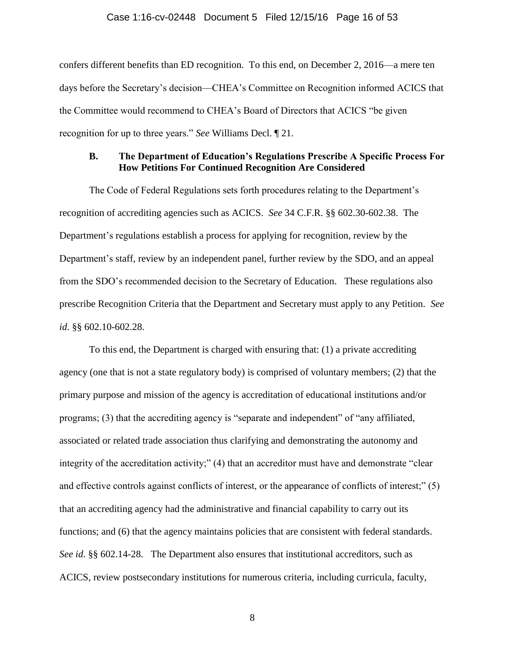#### Case 1:16-cv-02448 Document 5 Filed 12/15/16 Page 16 of 53

confers different benefits than ED recognition. To this end, on December 2, 2016—a mere ten days before the Secretary's decision—CHEA's Committee on Recognition informed ACICS that the Committee would recommend to CHEA's Board of Directors that ACICS "be given recognition for up to three years." *See* Williams Decl. ¶ 21.

### <span id="page-15-3"></span><span id="page-15-0"></span>**B. The Department of Education's Regulations Prescribe A Specific Process For How Petitions For Continued Recognition Are Considered**

The Code of Federal Regulations sets forth procedures relating to the Department's recognition of accrediting agencies such as ACICS. *See* 34 C.F.R. §§ 602.30-602.38. The Department's regulations establish a process for applying for recognition, review by the Department's staff, review by an independent panel, further review by the SDO, and an appeal from the SDO's recommended decision to the Secretary of Education. These regulations also prescribe Recognition Criteria that the Department and Secretary must apply to any Petition. *See id*. §§ 602.10-602.28.

<span id="page-15-2"></span><span id="page-15-1"></span>To this end, the Department is charged with ensuring that: (1) a private accrediting agency (one that is not a state regulatory body) is comprised of voluntary members; (2) that the primary purpose and mission of the agency is accreditation of educational institutions and/or programs; (3) that the accrediting agency is "separate and independent" of "any affiliated, associated or related trade association thus clarifying and demonstrating the autonomy and integrity of the accreditation activity;" (4) that an accreditor must have and demonstrate "clear and effective controls against conflicts of interest, or the appearance of conflicts of interest;" (5) that an accrediting agency had the administrative and financial capability to carry out its functions; and (6) that the agency maintains policies that are consistent with federal standards. *See id*. §§ 602.14-28. The Department also ensures that institutional accreditors, such as ACICS, review postsecondary institutions for numerous criteria, including curricula, faculty,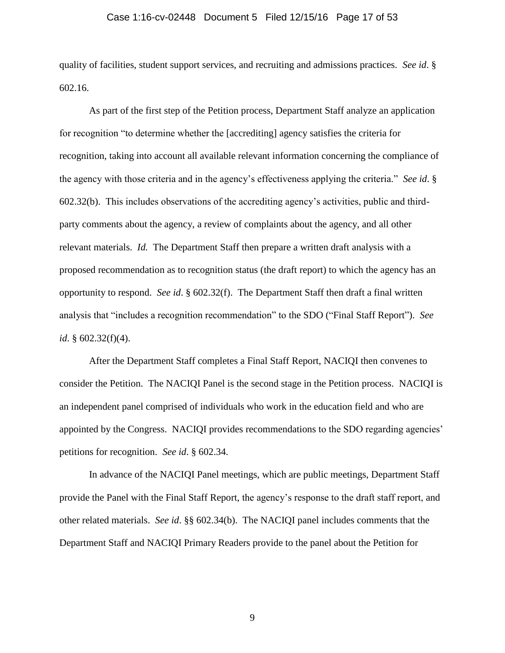#### Case 1:16-cv-02448 Document 5 Filed 12/15/16 Page 17 of 53

quality of facilities, student support services, and recruiting and admissions practices. *See id*. § 602.16.

As part of the first step of the Petition process, Department Staff analyze an application for recognition "to determine whether the [accrediting] agency satisfies the criteria for recognition, taking into account all available relevant information concerning the compliance of the agency with those criteria and in the agency's effectiveness applying the criteria." *See id*. § 602.32(b). This includes observations of the accrediting agency's activities, public and thirdparty comments about the agency, a review of complaints about the agency, and all other relevant materials. *Id.* The Department Staff then prepare a written draft analysis with a proposed recommendation as to recognition status (the draft report) to which the agency has an opportunity to respond. *See id*. § 602.32(f). The Department Staff then draft a final written analysis that "includes a recognition recommendation" to the SDO ("Final Staff Report"). *See id*. § 602.32(f)(4).

After the Department Staff completes a Final Staff Report, NACIQI then convenes to consider the Petition. The NACIQI Panel is the second stage in the Petition process. NACIQI is an independent panel comprised of individuals who work in the education field and who are appointed by the Congress. NACIQI provides recommendations to the SDO regarding agencies' petitions for recognition. *See id*. § 602.34.

<span id="page-16-0"></span>In advance of the NACIQI Panel meetings, which are public meetings, Department Staff provide the Panel with the Final Staff Report, the agency's response to the draft staff report, and other related materials. *See id*. §§ 602.34(b). The NACIQI panel includes comments that the Department Staff and NACIQI Primary Readers provide to the panel about the Petition for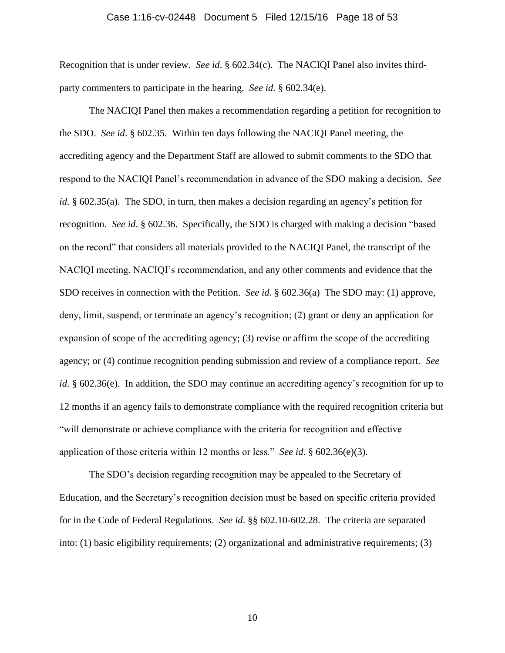#### Case 1:16-cv-02448 Document 5 Filed 12/15/16 Page 18 of 53

Recognition that is under review. *See id*. § 602.34(c). The NACIQI Panel also invites thirdparty commenters to participate in the hearing. *See id*. § 602.34(e).

<span id="page-17-0"></span>The NACIQI Panel then makes a recommendation regarding a petition for recognition to the SDO. *See id*. § 602.35. Within ten days following the NACIQI Panel meeting, the accrediting agency and the Department Staff are allowed to submit comments to the SDO that respond to the NACIQI Panel's recommendation in advance of the SDO making a decision. *See id*. § 602.35(a). The SDO, in turn, then makes a decision regarding an agency's petition for recognition. *See id*. § 602.36. Specifically, the SDO is charged with making a decision "based on the record" that considers all materials provided to the NACIQI Panel, the transcript of the NACIQI meeting, NACIQI's recommendation, and any other comments and evidence that the SDO receives in connection with the Petition. *See id*. § 602.36(a) The SDO may: (1) approve, deny, limit, suspend, or terminate an agency's recognition; (2) grant or deny an application for expansion of scope of the accrediting agency; (3) revise or affirm the scope of the accrediting agency; or (4) continue recognition pending submission and review of a compliance report. *See id*. § 602.36(e). In addition, the SDO may continue an accrediting agency's recognition for up to 12 months if an agency fails to demonstrate compliance with the required recognition criteria but "will demonstrate or achieve compliance with the criteria for recognition and effective application of those criteria within 12 months or less." *See id*. § 602.36(e)(3).

The SDO's decision regarding recognition may be appealed to the Secretary of Education, and the Secretary's recognition decision must be based on specific criteria provided for in the Code of Federal Regulations. *See id*. §§ 602.10-602.28. The criteria are separated into: (1) basic eligibility requirements; (2) organizational and administrative requirements; (3)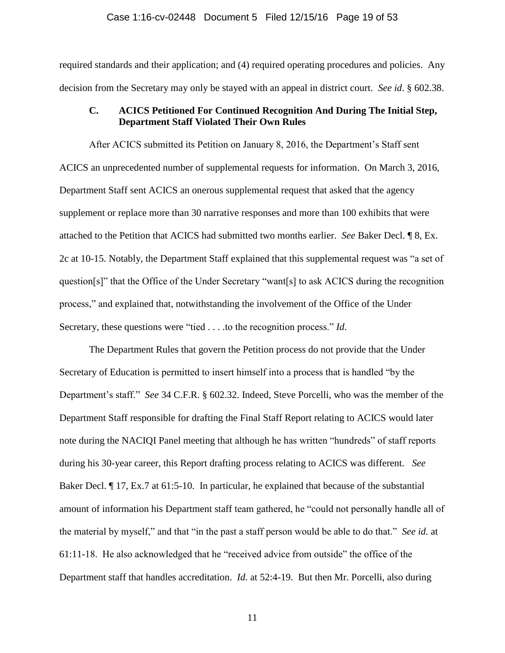#### <span id="page-18-2"></span>Case 1:16-cv-02448 Document 5 Filed 12/15/16 Page 19 of 53

required standards and their application; and (4) required operating procedures and policies. Any decision from the Secretary may only be stayed with an appeal in district court. *See id*. § 602.38.

# <span id="page-18-0"></span>**C. ACICS Petitioned For Continued Recognition And During The Initial Step, Department Staff Violated Their Own Rules**

After ACICS submitted its Petition on January 8, 2016, the Department's Staff sent ACICS an unprecedented number of supplemental requests for information. On March 3, 2016, Department Staff sent ACICS an onerous supplemental request that asked that the agency supplement or replace more than 30 narrative responses and more than 100 exhibits that were attached to the Petition that ACICS had submitted two months earlier. *See* Baker Decl. ¶ 8, Ex. 2c at 10-15. Notably, the Department Staff explained that this supplemental request was "a set of question[s]" that the Office of the Under Secretary "want[s] to ask ACICS during the recognition process," and explained that, notwithstanding the involvement of the Office of the Under Secretary, these questions were "tied . . . .to the recognition process." *Id*.

<span id="page-18-1"></span>The Department Rules that govern the Petition process do not provide that the Under Secretary of Education is permitted to insert himself into a process that is handled "by the Department's staff." *See* 34 C.F.R. § 602.32. Indeed, Steve Porcelli, who was the member of the Department Staff responsible for drafting the Final Staff Report relating to ACICS would later note during the NACIQI Panel meeting that although he has written "hundreds" of staff reports during his 30-year career, this Report drafting process relating to ACICS was different. *See* Baker Decl.  $\parallel$  17, Ex.7 at 61:5-10. In particular, he explained that because of the substantial amount of information his Department staff team gathered, he "could not personally handle all of the material by myself," and that "in the past a staff person would be able to do that." *See id.* at 61:11-18. He also acknowledged that he "received advice from outside" the office of the Department staff that handles accreditation. *Id.* at 52:4-19. But then Mr. Porcelli, also during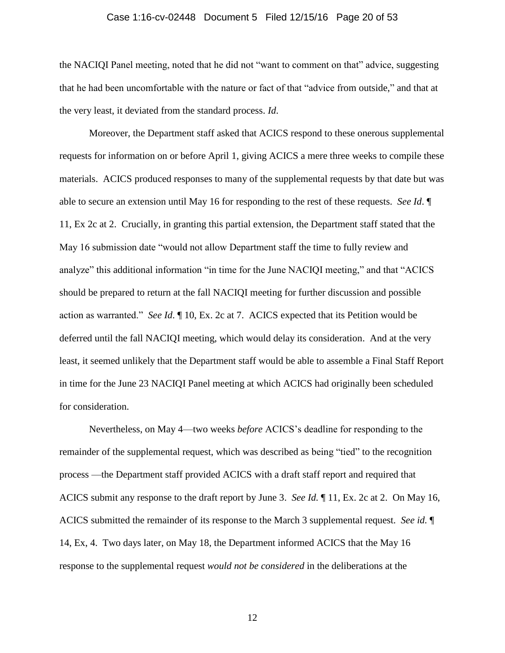#### Case 1:16-cv-02448 Document 5 Filed 12/15/16 Page 20 of 53

the NACIQI Panel meeting, noted that he did not "want to comment on that" advice, suggesting that he had been uncomfortable with the nature or fact of that "advice from outside," and that at the very least, it deviated from the standard process. *Id*.

Moreover, the Department staff asked that ACICS respond to these onerous supplemental requests for information on or before April 1, giving ACICS a mere three weeks to compile these materials. ACICS produced responses to many of the supplemental requests by that date but was able to secure an extension until May 16 for responding to the rest of these requests. *See Id*. ¶ 11, Ex 2c at 2. Crucially, in granting this partial extension, the Department staff stated that the May 16 submission date "would not allow Department staff the time to fully review and analyze" this additional information "in time for the June NACIQI meeting," and that "ACICS should be prepared to return at the fall NACIQI meeting for further discussion and possible action as warranted." *See Id*. ¶ 10, Ex. 2c at 7. ACICS expected that its Petition would be deferred until the fall NACIQI meeting, which would delay its consideration. And at the very least, it seemed unlikely that the Department staff would be able to assemble a Final Staff Report in time for the June 23 NACIQI Panel meeting at which ACICS had originally been scheduled for consideration.

Nevertheless, on May 4—two weeks *before* ACICS's deadline for responding to the remainder of the supplemental request, which was described as being "tied" to the recognition process —the Department staff provided ACICS with a draft staff report and required that ACICS submit any response to the draft report by June 3. *See Id.* ¶ 11, Ex. 2c at 2. On May 16, ACICS submitted the remainder of its response to the March 3 supplemental request. *See id.* ¶ 14, Ex, 4. Two days later, on May 18, the Department informed ACICS that the May 16 response to the supplemental request *would not be considered* in the deliberations at the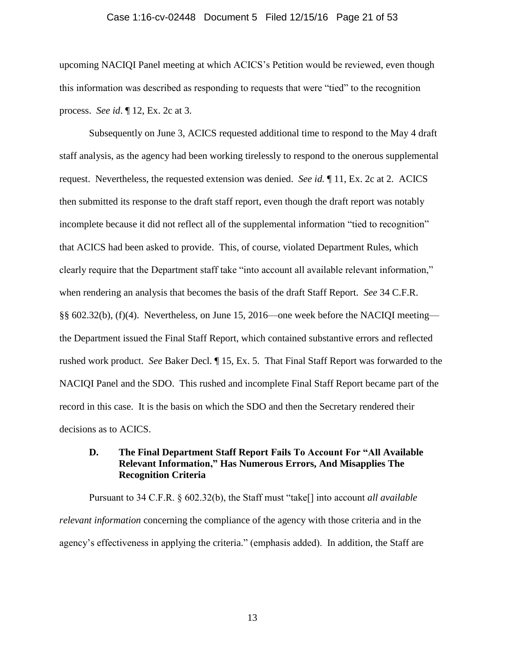#### Case 1:16-cv-02448 Document 5 Filed 12/15/16 Page 21 of 53

upcoming NACIQI Panel meeting at which ACICS's Petition would be reviewed, even though this information was described as responding to requests that were "tied" to the recognition process. *See id*. ¶ 12, Ex. 2c at 3.

Subsequently on June 3, ACICS requested additional time to respond to the May 4 draft staff analysis, as the agency had been working tirelessly to respond to the onerous supplemental request. Nevertheless, the requested extension was denied. *See id.* ¶ 11, Ex. 2c at 2. ACICS then submitted its response to the draft staff report, even though the draft report was notably incomplete because it did not reflect all of the supplemental information "tied to recognition" that ACICS had been asked to provide. This, of course, violated Department Rules, which clearly require that the Department staff take "into account all available relevant information," when rendering an analysis that becomes the basis of the draft Staff Report. *See* 34 C.F.R. §§ 602.32(b), (f)(4). Nevertheless, on June 15, 2016—one week before the NACIQI meeting the Department issued the Final Staff Report, which contained substantive errors and reflected rushed work product. *See* Baker Decl. ¶ 15, Ex. 5. That Final Staff Report was forwarded to the NACIQI Panel and the SDO. This rushed and incomplete Final Staff Report became part of the record in this case. It is the basis on which the SDO and then the Secretary rendered their decisions as to ACICS.

# <span id="page-20-0"></span>**D. The Final Department Staff Report Fails To Account For "All Available Relevant Information," Has Numerous Errors, And Misapplies The Recognition Criteria**

Pursuant to 34 C.F.R. § 602.32(b), the Staff must "take[] into account *all available relevant information* concerning the compliance of the agency with those criteria and in the agency's effectiveness in applying the criteria." (emphasis added). In addition, the Staff are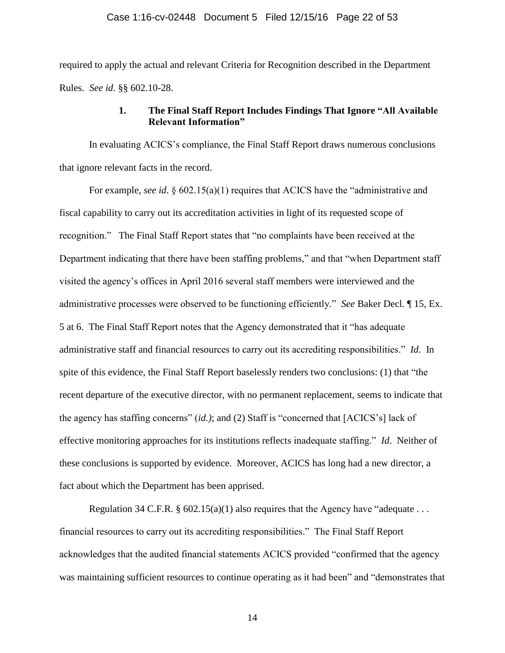#### Case 1:16-cv-02448 Document 5 Filed 12/15/16 Page 22 of 53

required to apply the actual and relevant Criteria for Recognition described in the Department Rules. *See id*. §§ 602.10-28.

# <span id="page-21-0"></span>**1. The Final Staff Report Includes Findings That Ignore "All Available Relevant Information"**

In evaluating ACICS's compliance, the Final Staff Report draws numerous conclusions that ignore relevant facts in the record.

For example, *see id.* § 602.15(a)(1) requires that ACICS have the "administrative and fiscal capability to carry out its accreditation activities in light of its requested scope of recognition." The Final Staff Report states that "no complaints have been received at the Department indicating that there have been staffing problems," and that "when Department staff visited the agency's offices in April 2016 several staff members were interviewed and the administrative processes were observed to be functioning efficiently." *See* Baker Decl. ¶ 15, Ex. 5 at 6. The Final Staff Report notes that the Agency demonstrated that it "has adequate administrative staff and financial resources to carry out its accrediting responsibilities." *Id*. In spite of this evidence, the Final Staff Report baselessly renders two conclusions: (1) that "the recent departure of the executive director, with no permanent replacement, seems to indicate that the agency has staffing concerns" (*id.)*; and (2) Staff is "concerned that [ACICS's] lack of effective monitoring approaches for its institutions reflects inadequate staffing." *Id*. Neither of these conclusions is supported by evidence. Moreover, ACICS has long had a new director, a fact about which the Department has been apprised.

Regulation 34 C.F.R. §  $602.15(a)(1)$  also requires that the Agency have "adequate ... financial resources to carry out its accrediting responsibilities." The Final Staff Report acknowledges that the audited financial statements ACICS provided "confirmed that the agency was maintaining sufficient resources to continue operating as it had been" and "demonstrates that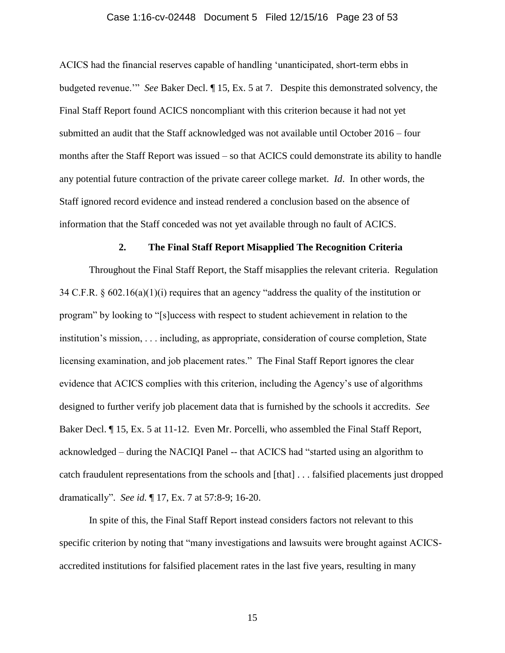#### Case 1:16-cv-02448 Document 5 Filed 12/15/16 Page 23 of 53

ACICS had the financial reserves capable of handling 'unanticipated, short-term ebbs in budgeted revenue.'" *See* Baker Decl. ¶ 15, Ex. 5 at 7. Despite this demonstrated solvency, the Final Staff Report found ACICS noncompliant with this criterion because it had not yet submitted an audit that the Staff acknowledged was not available until October 2016 – four months after the Staff Report was issued – so that ACICS could demonstrate its ability to handle any potential future contraction of the private career college market. *Id*. In other words, the Staff ignored record evidence and instead rendered a conclusion based on the absence of information that the Staff conceded was not yet available through no fault of ACICS.

#### **2. The Final Staff Report Misapplied The Recognition Criteria**

<span id="page-22-0"></span>Throughout the Final Staff Report, the Staff misapplies the relevant criteria. Regulation 34 C.F.R. § 602.16(a)(1)(i) requires that an agency "address the quality of the institution or program" by looking to "[s]uccess with respect to student achievement in relation to the institution's mission, . . . including, as appropriate, consideration of course completion, State licensing examination, and job placement rates." The Final Staff Report ignores the clear evidence that ACICS complies with this criterion, including the Agency's use of algorithms designed to further verify job placement data that is furnished by the schools it accredits. *See* Baker Decl. ¶ 15, Ex. 5 at 11-12. Even Mr. Porcelli, who assembled the Final Staff Report, acknowledged – during the NACIQI Panel -- that ACICS had "started using an algorithm to catch fraudulent representations from the schools and [that] . . . falsified placements just dropped dramatically". *See id.* ¶ 17, Ex. 7 at 57:8-9; 16-20.

In spite of this, the Final Staff Report instead considers factors not relevant to this specific criterion by noting that "many investigations and lawsuits were brought against ACICSaccredited institutions for falsified placement rates in the last five years, resulting in many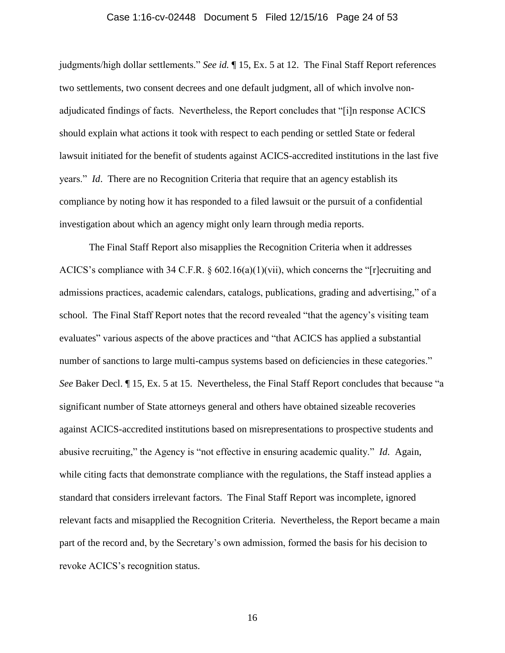#### Case 1:16-cv-02448 Document 5 Filed 12/15/16 Page 24 of 53

judgments/high dollar settlements." *See id.* ¶ 15, Ex. 5 at 12. The Final Staff Report references two settlements, two consent decrees and one default judgment, all of which involve nonadjudicated findings of facts. Nevertheless, the Report concludes that "[i]n response ACICS should explain what actions it took with respect to each pending or settled State or federal lawsuit initiated for the benefit of students against ACICS-accredited institutions in the last five years." *Id*. There are no Recognition Criteria that require that an agency establish its compliance by noting how it has responded to a filed lawsuit or the pursuit of a confidential investigation about which an agency might only learn through media reports.

The Final Staff Report also misapplies the Recognition Criteria when it addresses ACICS's compliance with 34 C.F.R. § 602.16(a)(1)(vii), which concerns the "[r]ecruiting and admissions practices, academic calendars, catalogs, publications, grading and advertising," of a school. The Final Staff Report notes that the record revealed "that the agency's visiting team evaluates" various aspects of the above practices and "that ACICS has applied a substantial number of sanctions to large multi-campus systems based on deficiencies in these categories." *See* Baker Decl. ¶ 15, Ex. 5 at 15. Nevertheless, the Final Staff Report concludes that because "a significant number of State attorneys general and others have obtained sizeable recoveries against ACICS-accredited institutions based on misrepresentations to prospective students and abusive recruiting," the Agency is "not effective in ensuring academic quality." *Id*. Again, while citing facts that demonstrate compliance with the regulations, the Staff instead applies a standard that considers irrelevant factors. The Final Staff Report was incomplete, ignored relevant facts and misapplied the Recognition Criteria. Nevertheless, the Report became a main part of the record and, by the Secretary's own admission, formed the basis for his decision to revoke ACICS's recognition status.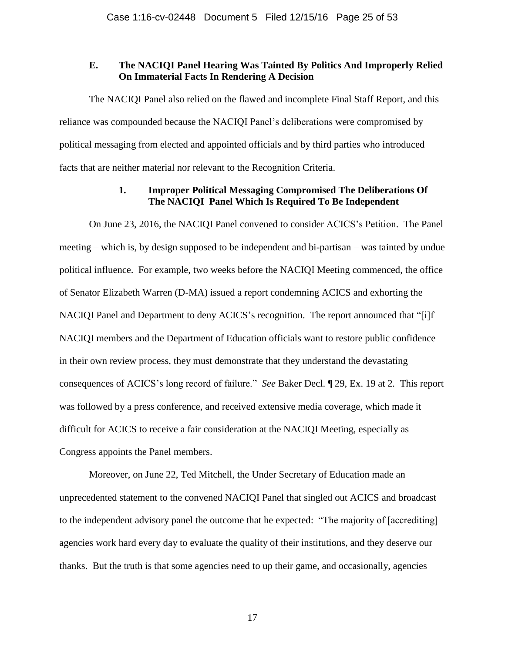## <span id="page-24-0"></span>**E. The NACIQI Panel Hearing Was Tainted By Politics And Improperly Relied On Immaterial Facts In Rendering A Decision**

The NACIQI Panel also relied on the flawed and incomplete Final Staff Report, and this reliance was compounded because the NACIQI Panel's deliberations were compromised by political messaging from elected and appointed officials and by third parties who introduced facts that are neither material nor relevant to the Recognition Criteria.

# **1. Improper Political Messaging Compromised The Deliberations Of The NACIQI Panel Which Is Required To Be Independent**

On June 23, 2016, the NACIQI Panel convened to consider ACICS's Petition. The Panel meeting – which is, by design supposed to be independent and bi-partisan – was tainted by undue political influence. For example, two weeks before the NACIQI Meeting commenced, the office of Senator Elizabeth Warren (D-MA) issued a report condemning ACICS and exhorting the NACIQI Panel and Department to deny ACICS's recognition. The report announced that "[i]f NACIQI members and the Department of Education officials want to restore public confidence in their own review process, they must demonstrate that they understand the devastating consequences of ACICS's long record of failure." *See* Baker Decl. ¶ 29, Ex. 19 at 2*.* This report was followed by a press conference, and received extensive media coverage, which made it difficult for ACICS to receive a fair consideration at the NACIQI Meeting, especially as Congress appoints the Panel members.

Moreover, on June 22, Ted Mitchell, the Under Secretary of Education made an unprecedented statement to the convened NACIQI Panel that singled out ACICS and broadcast to the independent advisory panel the outcome that he expected: "The majority of [accrediting] agencies work hard every day to evaluate the quality of their institutions, and they deserve our thanks. But the truth is that some agencies need to up their game, and occasionally, agencies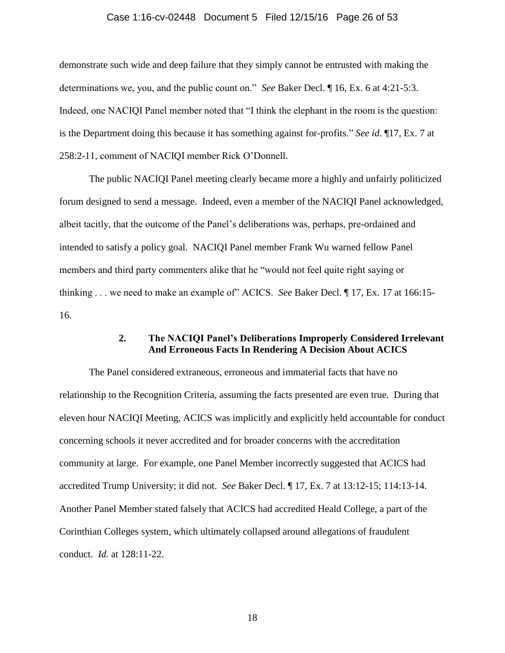#### Case 1:16-cv-02448 Document 5 Filed 12/15/16 Page 26 of 53

demonstrate such wide and deep failure that they simply cannot be entrusted with making the determinations we, you, and the public count on." *See* Baker Decl. ¶ 16, Ex. 6 at 4:21-5:3. Indeed, one NACIQI Panel member noted that "I think the elephant in the room is the question: is the Department doing this because it has something against for-profits." *See id*. ¶17, Ex. 7 at 258:2-11, comment of NACIQI member Rick O'Donnell.

The public NACIQI Panel meeting clearly became more a highly and unfairly politicized forum designed to send a message. Indeed, even a member of the NACIQI Panel acknowledged, albeit tacitly, that the outcome of the Panel's deliberations was, perhaps, pre-ordained and intended to satisfy a policy goal. NACIQI Panel member Frank Wu warned fellow Panel members and third party commenters alike that he "would not feel quite right saying or thinking . . . we need to make an example of" ACICS. *See* Baker Decl. ¶ 17, Ex. 17 at 166:15- 16.

# **2. The NACIQI Panel's Deliberations Improperly Considered Irrelevant And Erroneous Facts In Rendering A Decision About ACICS**

The Panel considered extraneous, erroneous and immaterial facts that have no relationship to the Recognition Criteria, assuming the facts presented are even true. During that eleven hour NACIQI Meeting, ACICS was implicitly and explicitly held accountable for conduct concerning schools it never accredited and for broader concerns with the accreditation community at large. For example, one Panel Member incorrectly suggested that ACICS had accredited Trump University; it did not. *See* Baker Decl. ¶ 17, Ex. 7 at 13:12-15; 114:13-14. Another Panel Member stated falsely that ACICS had accredited Heald College, a part of the Corinthian Colleges system, which ultimately collapsed around allegations of fraudulent conduct. *Id.* at 128:11-22.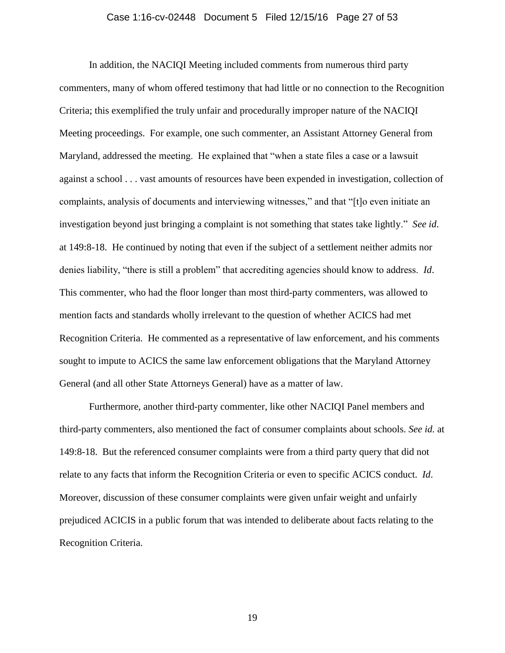#### Case 1:16-cv-02448 Document 5 Filed 12/15/16 Page 27 of 53

In addition, the NACIQI Meeting included comments from numerous third party commenters, many of whom offered testimony that had little or no connection to the Recognition Criteria; this exemplified the truly unfair and procedurally improper nature of the NACIQI Meeting proceedings. For example, one such commenter, an Assistant Attorney General from Maryland, addressed the meeting. He explained that "when a state files a case or a lawsuit against a school . . . vast amounts of resources have been expended in investigation, collection of complaints, analysis of documents and interviewing witnesses," and that "[t]o even initiate an investigation beyond just bringing a complaint is not something that states take lightly." *See id*. at 149:8-18. He continued by noting that even if the subject of a settlement neither admits nor denies liability, "there is still a problem" that accrediting agencies should know to address. *Id*. This commenter, who had the floor longer than most third-party commenters, was allowed to mention facts and standards wholly irrelevant to the question of whether ACICS had met Recognition Criteria. He commented as a representative of law enforcement, and his comments sought to impute to ACICS the same law enforcement obligations that the Maryland Attorney General (and all other State Attorneys General) have as a matter of law.

Furthermore, another third-party commenter, like other NACIQI Panel members and third-party commenters, also mentioned the fact of consumer complaints about schools. *See id.* at 149:8-18. But the referenced consumer complaints were from a third party query that did not relate to any facts that inform the Recognition Criteria or even to specific ACICS conduct. *Id*. Moreover, discussion of these consumer complaints were given unfair weight and unfairly prejudiced ACICIS in a public forum that was intended to deliberate about facts relating to the Recognition Criteria.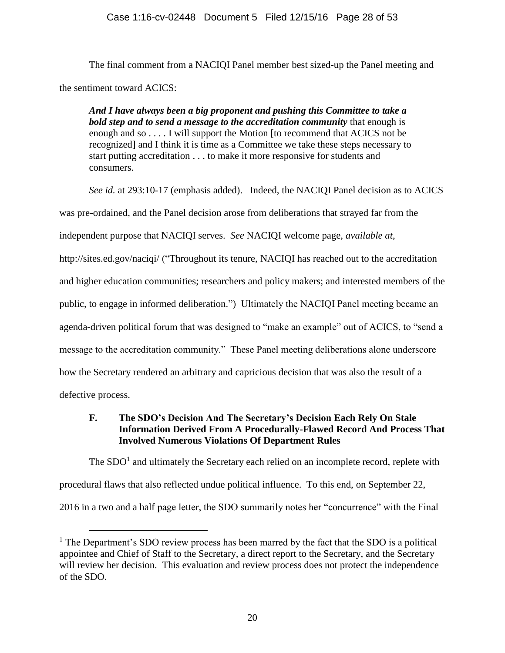The final comment from a NACIQI Panel member best sized-up the Panel meeting and the sentiment toward ACICS:

*And I have always been a big proponent and pushing this Committee to take a bold step and to send a message to the accreditation community* that enough is enough and so . . . . I will support the Motion [to recommend that ACICS not be recognized] and I think it is time as a Committee we take these steps necessary to start putting accreditation . . . to make it more responsive for students and consumers.

*See id.* at 293:10-17 (emphasis added). Indeed, the NACIQI Panel decision as to ACICS was pre-ordained, and the Panel decision arose from deliberations that strayed far from the independent purpose that NACIQI serves. *See* NACIQI welcome page, *available at*, http://sites.ed.gov/naciqi/ ("Throughout its tenure, NACIQI has reached out to the accreditation and higher education communities; researchers and policy makers; and interested members of the public, to engage in informed deliberation.") Ultimately the NACIQI Panel meeting became an agenda-driven political forum that was designed to "make an example" out of ACICS, to "send a message to the accreditation community." These Panel meeting deliberations alone underscore how the Secretary rendered an arbitrary and capricious decision that was also the result of a defective process.

# <span id="page-27-0"></span>**F. The SDO's Decision And The Secretary's Decision Each Rely On Stale Information Derived From A Procedurally-Flawed Record And Process That Involved Numerous Violations Of Department Rules**

The  $SDO<sup>1</sup>$  and ultimately the Secretary each relied on an incomplete record, replete with procedural flaws that also reflected undue political influence. To this end, on September 22, 2016 in a two and a half page letter, the SDO summarily notes her "concurrence" with the Final

 $\overline{a}$ 

<sup>&</sup>lt;sup>1</sup> The Department's SDO review process has been marred by the fact that the SDO is a political appointee and Chief of Staff to the Secretary, a direct report to the Secretary, and the Secretary will review her decision. This evaluation and review process does not protect the independence of the SDO.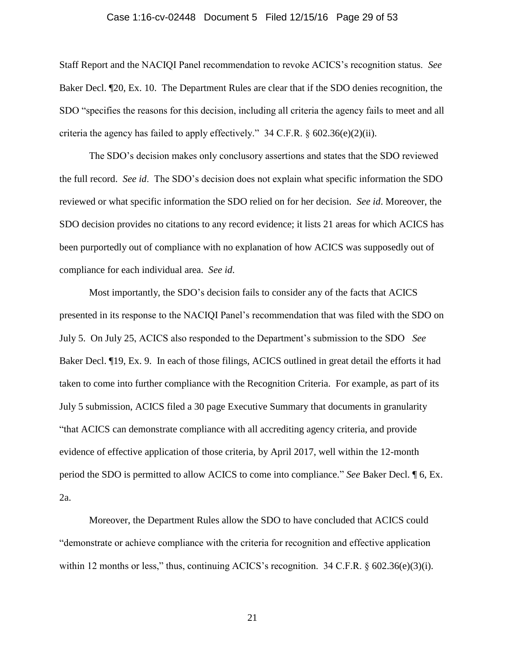#### <span id="page-28-0"></span>Case 1:16-cv-02448 Document 5 Filed 12/15/16 Page 29 of 53

Staff Report and the NACIQI Panel recommendation to revoke ACICS's recognition status. *See* Baker Decl. ¶20, Ex. 10. The Department Rules are clear that if the SDO denies recognition, the SDO "specifies the reasons for this decision, including all criteria the agency fails to meet and all criteria the agency has failed to apply effectively."  $34 \text{ C.F.R.}$  §  $602.36(e)(2)(ii)$ .

The SDO's decision makes only conclusory assertions and states that the SDO reviewed the full record. *See id*. The SDO's decision does not explain what specific information the SDO reviewed or what specific information the SDO relied on for her decision. *See id*. Moreover, the SDO decision provides no citations to any record evidence; it lists 21 areas for which ACICS has been purportedly out of compliance with no explanation of how ACICS was supposedly out of compliance for each individual area. *See id*.

Most importantly, the SDO's decision fails to consider any of the facts that ACICS presented in its response to the NACIQI Panel's recommendation that was filed with the SDO on July 5. On July 25, ACICS also responded to the Department's submission to the SDO *See* Baker Decl. ¶19, Ex. 9. In each of those filings, ACICS outlined in great detail the efforts it had taken to come into further compliance with the Recognition Criteria. For example, as part of its July 5 submission, ACICS filed a 30 page Executive Summary that documents in granularity "that ACICS can demonstrate compliance with all accrediting agency criteria, and provide evidence of effective application of those criteria, by April 2017, well within the 12-month period the SDO is permitted to allow ACICS to come into compliance." *See* Baker Decl. ¶ 6, Ex. 2a.

Moreover, the Department Rules allow the SDO to have concluded that ACICS could "demonstrate or achieve compliance with the criteria for recognition and effective application within 12 months or less," thus, continuing ACICS's recognition.  $34$  C.F.R. § 602.36(e)(3)(i).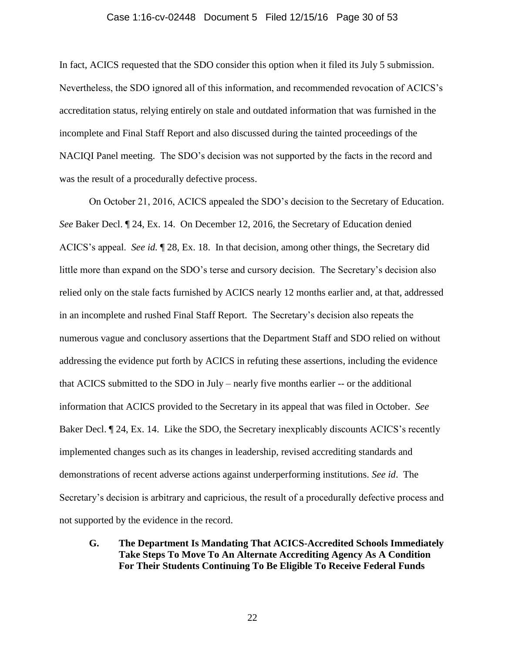#### Case 1:16-cv-02448 Document 5 Filed 12/15/16 Page 30 of 53

In fact, ACICS requested that the SDO consider this option when it filed its July 5 submission. Nevertheless, the SDO ignored all of this information, and recommended revocation of ACICS's accreditation status, relying entirely on stale and outdated information that was furnished in the incomplete and Final Staff Report and also discussed during the tainted proceedings of the NACIQI Panel meeting. The SDO's decision was not supported by the facts in the record and was the result of a procedurally defective process.

On October 21, 2016, ACICS appealed the SDO's decision to the Secretary of Education. *See* Baker Decl. ¶ 24, Ex. 14. On December 12, 2016, the Secretary of Education denied ACICS's appeal. *See id.* ¶ 28, Ex. 18. In that decision, among other things, the Secretary did little more than expand on the SDO's terse and cursory decision. The Secretary's decision also relied only on the stale facts furnished by ACICS nearly 12 months earlier and, at that, addressed in an incomplete and rushed Final Staff Report. The Secretary's decision also repeats the numerous vague and conclusory assertions that the Department Staff and SDO relied on without addressing the evidence put forth by ACICS in refuting these assertions, including the evidence that ACICS submitted to the SDO in July – nearly five months earlier -- or the additional information that ACICS provided to the Secretary in its appeal that was filed in October. *See* Baker Decl.  $\parallel$  24, Ex. 14. Like the SDO, the Secretary inexplicably discounts ACICS's recently implemented changes such as its changes in leadership, revised accrediting standards and demonstrations of recent adverse actions against underperforming institutions. *See id*. The Secretary's decision is arbitrary and capricious, the result of a procedurally defective process and not supported by the evidence in the record.

<span id="page-29-0"></span>**G. The Department Is Mandating That ACICS-Accredited Schools Immediately Take Steps To Move To An Alternate Accrediting Agency As A Condition For Their Students Continuing To Be Eligible To Receive Federal Funds**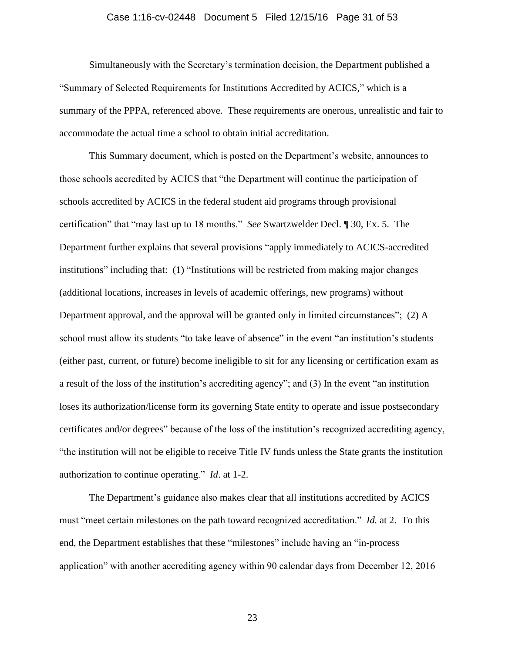#### Case 1:16-cv-02448 Document 5 Filed 12/15/16 Page 31 of 53

Simultaneously with the Secretary's termination decision, the Department published a "Summary of Selected Requirements for Institutions Accredited by ACICS," which is a summary of the PPPA, referenced above. These requirements are onerous, unrealistic and fair to accommodate the actual time a school to obtain initial accreditation.

This Summary document, which is posted on the Department's website, announces to those schools accredited by ACICS that "the Department will continue the participation of schools accredited by ACICS in the federal student aid programs through provisional certification" that "may last up to 18 months." *See* Swartzwelder Decl. ¶ 30, Ex. 5. The Department further explains that several provisions "apply immediately to ACICS-accredited institutions" including that: (1) "Institutions will be restricted from making major changes (additional locations, increases in levels of academic offerings, new programs) without Department approval, and the approval will be granted only in limited circumstances"; (2) A school must allow its students "to take leave of absence" in the event "an institution's students (either past, current, or future) become ineligible to sit for any licensing or certification exam as a result of the loss of the institution's accrediting agency"; and (3) In the event "an institution loses its authorization/license form its governing State entity to operate and issue postsecondary certificates and/or degrees" because of the loss of the institution's recognized accrediting agency, "the institution will not be eligible to receive Title IV funds unless the State grants the institution authorization to continue operating." *Id*. at 1-2.

The Department's guidance also makes clear that all institutions accredited by ACICS must "meet certain milestones on the path toward recognized accreditation." *Id.* at 2. To this end, the Department establishes that these "milestones" include having an "in-process application" with another accrediting agency within 90 calendar days from December 12, 2016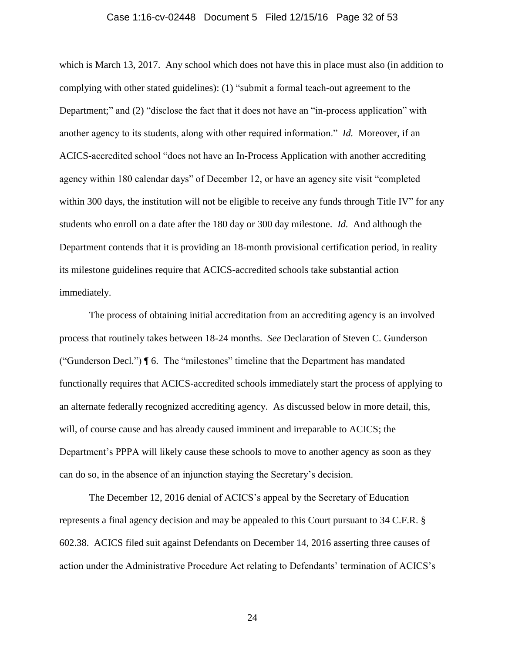#### Case 1:16-cv-02448 Document 5 Filed 12/15/16 Page 32 of 53

which is March 13, 2017. Any school which does not have this in place must also (in addition to complying with other stated guidelines): (1) "submit a formal teach-out agreement to the Department;" and (2) "disclose the fact that it does not have an "in-process application" with another agency to its students, along with other required information." *Id.* Moreover, if an ACICS-accredited school "does not have an In-Process Application with another accrediting agency within 180 calendar days" of December 12, or have an agency site visit "completed within 300 days, the institution will not be eligible to receive any funds through Title IV" for any students who enroll on a date after the 180 day or 300 day milestone. *Id.* And although the Department contends that it is providing an 18-month provisional certification period, in reality its milestone guidelines require that ACICS-accredited schools take substantial action immediately.

The process of obtaining initial accreditation from an accrediting agency is an involved process that routinely takes between 18-24 months. *See* Declaration of Steven C. Gunderson ("Gunderson Decl.") ¶ 6. The "milestones" timeline that the Department has mandated functionally requires that ACICS-accredited schools immediately start the process of applying to an alternate federally recognized accrediting agency. As discussed below in more detail, this, will, of course cause and has already caused imminent and irreparable to ACICS; the Department's PPPA will likely cause these schools to move to another agency as soon as they can do so, in the absence of an injunction staying the Secretary's decision.

<span id="page-31-0"></span>The December 12, 2016 denial of ACICS's appeal by the Secretary of Education represents a final agency decision and may be appealed to this Court pursuant to 34 C.F.R. § 602.38. ACICS filed suit against Defendants on December 14, 2016 asserting three causes of action under the Administrative Procedure Act relating to Defendants' termination of ACICS's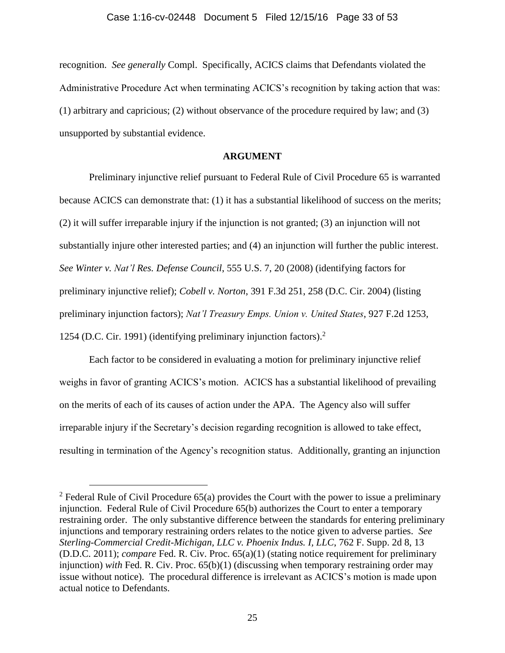recognition. *See generally* Compl. Specifically, ACICS claims that Defendants violated the Administrative Procedure Act when terminating ACICS's recognition by taking action that was: (1) arbitrary and capricious; (2) without observance of the procedure required by law; and (3) unsupported by substantial evidence.

# <span id="page-32-1"></span>**ARGUMENT**

<span id="page-32-4"></span><span id="page-32-0"></span>Preliminary injunctive relief pursuant to Federal Rule of Civil Procedure 65 is warranted because ACICS can demonstrate that: (1) it has a substantial likelihood of success on the merits; (2) it will suffer irreparable injury if the injunction is not granted; (3) an injunction will not substantially injure other interested parties; and (4) an injunction will further the public interest. *See Winter v. Nat'l Res. Defense Council*, 555 U.S. 7, 20 (2008) (identifying factors for preliminary injunctive relief); *Cobell v. Norton*, 391 F.3d 251, 258 (D.C. Cir. 2004) (listing preliminary injunction factors); *Nat'l Treasury Emps. Union v. United States*, 927 F.2d 1253, 1254 (D.C. Cir. 1991) (identifying preliminary injunction factors).<sup>2</sup>

<span id="page-32-2"></span>Each factor to be considered in evaluating a motion for preliminary injunctive relief weighs in favor of granting ACICS's motion. ACICS has a substantial likelihood of prevailing on the merits of each of its causes of action under the APA. The Agency also will suffer irreparable injury if the Secretary's decision regarding recognition is allowed to take effect, resulting in termination of the Agency's recognition status. Additionally, granting an injunction

<span id="page-32-6"></span><span id="page-32-5"></span> $\overline{a}$ 

<span id="page-32-3"></span><sup>&</sup>lt;sup>2</sup> Federal Rule of Civil Procedure  $65(a)$  provides the Court with the power to issue a preliminary injunction. Federal Rule of Civil Procedure 65(b) authorizes the Court to enter a temporary restraining order. The only substantive difference between the standards for entering preliminary injunctions and temporary restraining orders relates to the notice given to adverse parties. *See Sterling-Commercial Credit-Michigan, LLC v. Phoenix Indus. I, LLC*, 762 F. Supp. 2d 8, 13 (D.D.C. 2011); *compare* Fed. R. Civ. Proc. 65(a)(1) (stating notice requirement for preliminary injunction) *with* Fed. R. Civ. Proc. 65(b)(1) (discussing when temporary restraining order may issue without notice). The procedural difference is irrelevant as ACICS's motion is made upon actual notice to Defendants.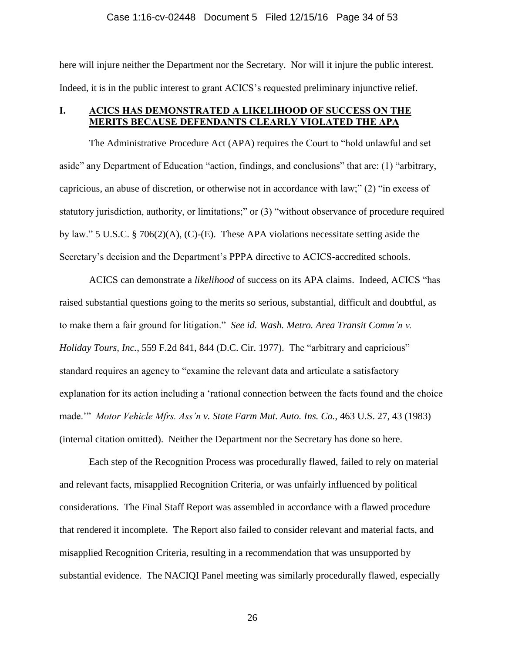#### Case 1:16-cv-02448 Document 5 Filed 12/15/16 Page 34 of 53

here will injure neither the Department nor the Secretary. Nor will it injure the public interest. Indeed, it is in the public interest to grant ACICS's requested preliminary injunctive relief.

# <span id="page-33-0"></span>**I. ACICS HAS DEMONSTRATED A LIKELIHOOD OF SUCCESS ON THE MERITS BECAUSE DEFENDANTS CLEARLY VIOLATED THE APA**

The Administrative Procedure Act (APA) requires the Court to "hold unlawful and set aside" any Department of Education "action, findings, and conclusions" that are: (1) "arbitrary, capricious, an abuse of discretion, or otherwise not in accordance with law;" (2) "in excess of statutory jurisdiction, authority, or limitations;" or (3) "without observance of procedure required by law." 5 U.S.C. § 706(2)(A), (C)-(E). These APA violations necessitate setting aside the Secretary's decision and the Department's PPPA directive to ACICS-accredited schools.

<span id="page-33-3"></span><span id="page-33-2"></span>ACICS can demonstrate a *likelihood* of success on its APA claims. Indeed, ACICS "has raised substantial questions going to the merits so serious, substantial, difficult and doubtful, as to make them a fair ground for litigation." *See id. Wash. Metro. Area Transit Comm'n v. Holiday Tours, Inc.*, 559 F.2d 841, 844 (D.C. Cir. 1977). The "arbitrary and capricious" standard requires an agency to "examine the relevant data and articulate a satisfactory explanation for its action including a 'rational connection between the facts found and the choice made.'" *Motor Vehicle Mfrs. Ass'n v. State Farm Mut. Auto. Ins. Co.*, 463 U.S. 27, 43 (1983) (internal citation omitted). Neither the Department nor the Secretary has done so here.

<span id="page-33-1"></span>Each step of the Recognition Process was procedurally flawed, failed to rely on material and relevant facts, misapplied Recognition Criteria, or was unfairly influenced by political considerations. The Final Staff Report was assembled in accordance with a flawed procedure that rendered it incomplete. The Report also failed to consider relevant and material facts, and misapplied Recognition Criteria, resulting in a recommendation that was unsupported by substantial evidence. The NACIQI Panel meeting was similarly procedurally flawed, especially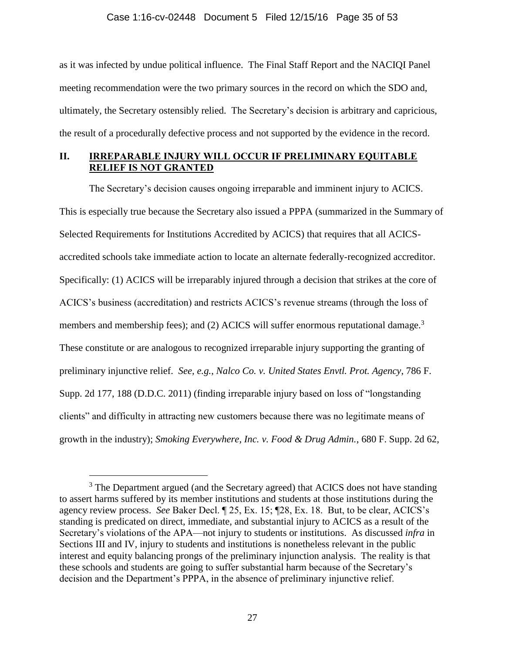#### Case 1:16-cv-02448 Document 5 Filed 12/15/16 Page 35 of 53

as it was infected by undue political influence. The Final Staff Report and the NACIQI Panel meeting recommendation were the two primary sources in the record on which the SDO and, ultimately, the Secretary ostensibly relied. The Secretary's decision is arbitrary and capricious, the result of a procedurally defective process and not supported by the evidence in the record.

# <span id="page-34-0"></span>**II. IRREPARABLE INJURY WILL OCCUR IF PRELIMINARY EQUITABLE RELIEF IS NOT GRANTED**

The Secretary's decision causes ongoing irreparable and imminent injury to ACICS. This is especially true because the Secretary also issued a PPPA (summarized in the Summary of Selected Requirements for Institutions Accredited by ACICS) that requires that all ACICSaccredited schools take immediate action to locate an alternate federally-recognized accreditor. Specifically: (1) ACICS will be irreparably injured through a decision that strikes at the core of ACICS's business (accreditation) and restricts ACICS's revenue streams (through the loss of members and membership fees); and (2) ACICS will suffer enormous reputational damage.<sup>3</sup> These constitute or are analogous to recognized irreparable injury supporting the granting of preliminary injunctive relief. *See, e.g.*, *Nalco Co. v. United States Envtl. Prot. Agency*, 786 F. Supp. 2d 177, 188 (D.D.C. 2011) (finding irreparable injury based on loss of "longstanding clients" and difficulty in attracting new customers because there was no legitimate means of growth in the industry); *Smoking Everywhere, Inc. v. Food & Drug Admin.*, 680 F. Supp. 2d 62,

<span id="page-34-2"></span><span id="page-34-1"></span> $\overline{a}$ 

<sup>&</sup>lt;sup>3</sup> The Department argued (and the Secretary agreed) that ACICS does not have standing to assert harms suffered by its member institutions and students at those institutions during the agency review process. *See* Baker Decl. ¶ 25, Ex. 15; ¶28, Ex. 18. But, to be clear, ACICS's standing is predicated on direct, immediate, and substantial injury to ACICS as a result of the Secretary's violations of the APA—not injury to students or institutions. As discussed *infra* in Sections III and IV, injury to students and institutions is nonetheless relevant in the public interest and equity balancing prongs of the preliminary injunction analysis. The reality is that these schools and students are going to suffer substantial harm because of the Secretary's decision and the Department's PPPA, in the absence of preliminary injunctive relief.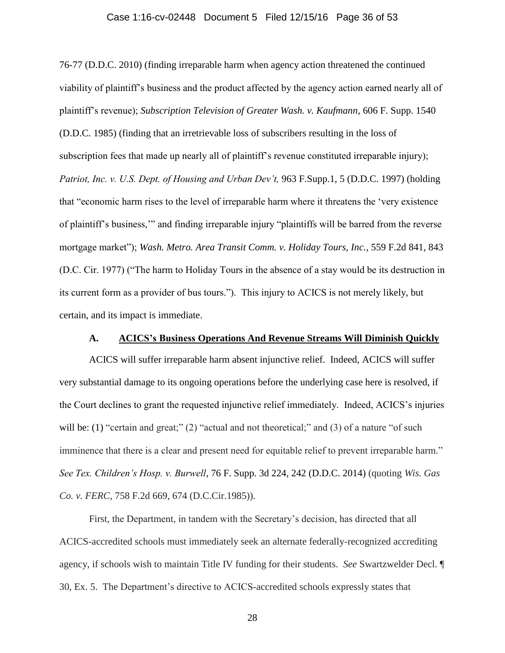#### Case 1:16-cv-02448 Document 5 Filed 12/15/16 Page 36 of 53

<span id="page-35-2"></span><span id="page-35-1"></span>76-77 (D.D.C. 2010) (finding irreparable harm when agency action threatened the continued viability of plaintiff's business and the product affected by the agency action earned nearly all of plaintiff's revenue); *Subscription Television of Greater Wash. v. Kaufmann*, 606 F. Supp. 1540 (D.D.C. 1985) (finding that an irretrievable loss of subscribers resulting in the loss of subscription fees that made up nearly all of plaintiff's revenue constituted irreparable injury); Patriot, Inc. v. U.S. Dept. of Housing and Urban Dev't, 963 F.Supp.1, 5 (D.D.C. 1997) (holding that "economic harm rises to the level of irreparable harm where it threatens the 'very existence of plaintiff's business,'" and finding irreparable injury "plaintiffs will be barred from the reverse mortgage market"); *Wash. Metro. Area Transit Comm. v. Holiday Tours, Inc.*, 559 F.2d 841, 843 (D.C. Cir. 1977) ("The harm to Holiday Tours in the absence of a stay would be its destruction in its current form as a provider of bus tours."). This injury to ACICS is not merely likely, but certain, and its impact is immediate.

### <span id="page-35-4"></span>**A. ACICS's Business Operations And Revenue Streams Will Diminish Quickly**

<span id="page-35-0"></span>ACICS will suffer irreparable harm absent injunctive relief. Indeed, ACICS will suffer very substantial damage to its ongoing operations before the underlying case here is resolved, if the Court declines to grant the requested injunctive relief immediately. Indeed, ACICS's injuries will be: (1) "certain and great;" (2) "actual and not theoretical;" and (3) of a nature "of such imminence that there is a clear and present need for equitable relief to prevent irreparable harm." *See Tex. Children's Hosp. v. Burwell*, 76 F. Supp. 3d 224, 242 (D.D.C. 2014) (quoting *Wis. Gas Co. v. FERC*, 758 F.2d 669, 674 (D.C.Cir.1985)).

<span id="page-35-3"></span>First, the Department, in tandem with the Secretary's decision, has directed that all ACICS-accredited schools must immediately seek an alternate federally-recognized accrediting agency, if schools wish to maintain Title IV funding for their students. *See* Swartzwelder Decl. ¶ 30, Ex. 5. The Department's directive to ACICS-accredited schools expressly states that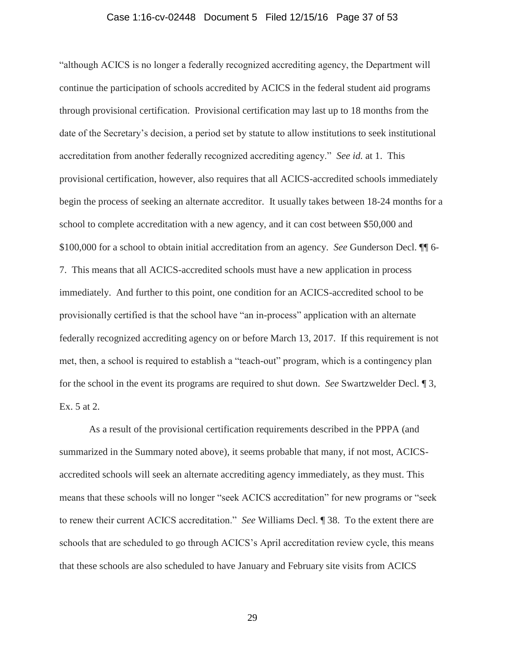#### <span id="page-36-0"></span>Case 1:16-cv-02448 Document 5 Filed 12/15/16 Page 37 of 53

"although ACICS is no longer a federally recognized accrediting agency, the Department will continue the participation of schools accredited by ACICS in the federal student aid programs through provisional certification. Provisional certification may last up to 18 months from the date of the Secretary's decision, a period set by statute to allow institutions to seek institutional accreditation from another federally recognized accrediting agency." *See id.* at 1. This provisional certification, however, also requires that all ACICS-accredited schools immediately begin the process of seeking an alternate accreditor. It usually takes between 18-24 months for a school to complete accreditation with a new agency, and it can cost between \$50,000 and \$100,000 for a school to obtain initial accreditation from an agency. *See* Gunderson Decl. ¶¶ 6- 7. This means that all ACICS-accredited schools must have a new application in process immediately. And further to this point, one condition for an ACICS-accredited school to be provisionally certified is that the school have "an in-process" application with an alternate federally recognized accrediting agency on or before March 13, 2017. If this requirement is not met, then, a school is required to establish a "teach-out" program, which is a contingency plan for the school in the event its programs are required to shut down. *See* Swartzwelder Decl. ¶ 3, Ex. 5 at 2.

As a result of the provisional certification requirements described in the PPPA (and summarized in the Summary noted above), it seems probable that many, if not most, ACICSaccredited schools will seek an alternate accrediting agency immediately, as they must. This means that these schools will no longer "seek ACICS accreditation" for new programs or "seek to renew their current ACICS accreditation." *See* Williams Decl. ¶ 38. To the extent there are schools that are scheduled to go through ACICS's April accreditation review cycle, this means that these schools are also scheduled to have January and February site visits from ACICS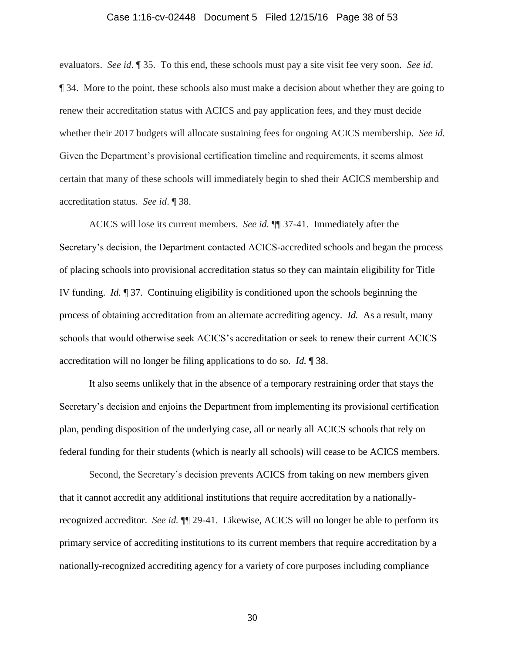#### Case 1:16-cv-02448 Document 5 Filed 12/15/16 Page 38 of 53

evaluators. *See id*. ¶ 35. To this end, these schools must pay a site visit fee very soon. *See id*. ¶ 34. More to the point, these schools also must make a decision about whether they are going to renew their accreditation status with ACICS and pay application fees, and they must decide whether their 2017 budgets will allocate sustaining fees for ongoing ACICS membership. *See id.* Given the Department's provisional certification timeline and requirements, it seems almost certain that many of these schools will immediately begin to shed their ACICS membership and accreditation status. *See id*. ¶ 38.

ACICS will lose its current members. *See id.* ¶¶ 37-41. Immediately after the Secretary's decision, the Department contacted ACICS-accredited schools and began the process of placing schools into provisional accreditation status so they can maintain eligibility for Title IV funding. *Id.* ¶ 37. Continuing eligibility is conditioned upon the schools beginning the process of obtaining accreditation from an alternate accrediting agency. *Id.* As a result, many schools that would otherwise seek ACICS's accreditation or seek to renew their current ACICS accreditation will no longer be filing applications to do so. *Id.* ¶ 38.

It also seems unlikely that in the absence of a temporary restraining order that stays the Secretary's decision and enjoins the Department from implementing its provisional certification plan, pending disposition of the underlying case, all or nearly all ACICS schools that rely on federal funding for their students (which is nearly all schools) will cease to be ACICS members.

Second, the Secretary's decision prevents ACICS from taking on new members given that it cannot accredit any additional institutions that require accreditation by a nationallyrecognized accreditor. *See id.* ¶¶ 29-41. Likewise, ACICS will no longer be able to perform its primary service of accrediting institutions to its current members that require accreditation by a nationally-recognized accrediting agency for a variety of core purposes including compliance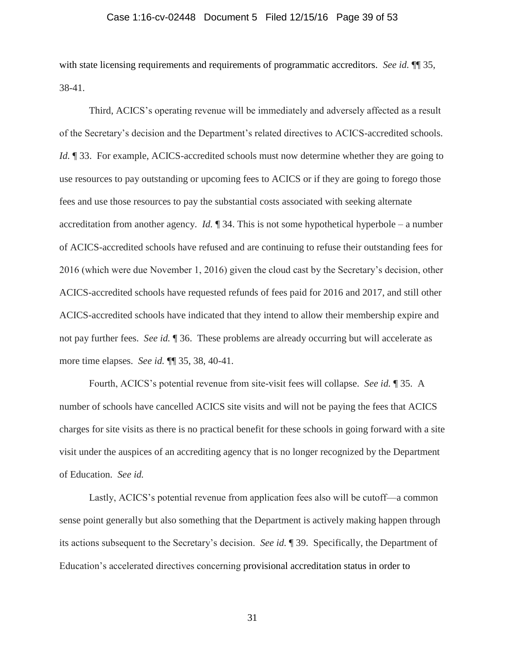#### Case 1:16-cv-02448 Document 5 Filed 12/15/16 Page 39 of 53

with state licensing requirements and requirements of programmatic accreditors. *See id.* ¶¶ 35, 38-41.

Third, ACICS's operating revenue will be immediately and adversely affected as a result of the Secretary's decision and the Department's related directives to ACICS-accredited schools. *Id.*  $\parallel$  33. For example, ACICS-accredited schools must now determine whether they are going to use resources to pay outstanding or upcoming fees to ACICS or if they are going to forego those fees and use those resources to pay the substantial costs associated with seeking alternate accreditation from another agency. *Id.* ¶ 34. This is not some hypothetical hyperbole – a number of ACICS-accredited schools have refused and are continuing to refuse their outstanding fees for 2016 (which were due November 1, 2016) given the cloud cast by the Secretary's decision, other ACICS-accredited schools have requested refunds of fees paid for 2016 and 2017, and still other ACICS-accredited schools have indicated that they intend to allow their membership expire and not pay further fees. *See id.* ¶ 36. These problems are already occurring but will accelerate as more time elapses. *See id.* ¶¶ 35, 38, 40-41.

Fourth, ACICS's potential revenue from site-visit fees will collapse. *See id.* ¶ 35. A number of schools have cancelled ACICS site visits and will not be paying the fees that ACICS charges for site visits as there is no practical benefit for these schools in going forward with a site visit under the auspices of an accrediting agency that is no longer recognized by the Department of Education. *See id.*

Lastly, ACICS's potential revenue from application fees also will be cutoff—a common sense point generally but also something that the Department is actively making happen through its actions subsequent to the Secretary's decision. *See id.* ¶ 39. Specifically, the Department of Education's accelerated directives concerning provisional accreditation status in order to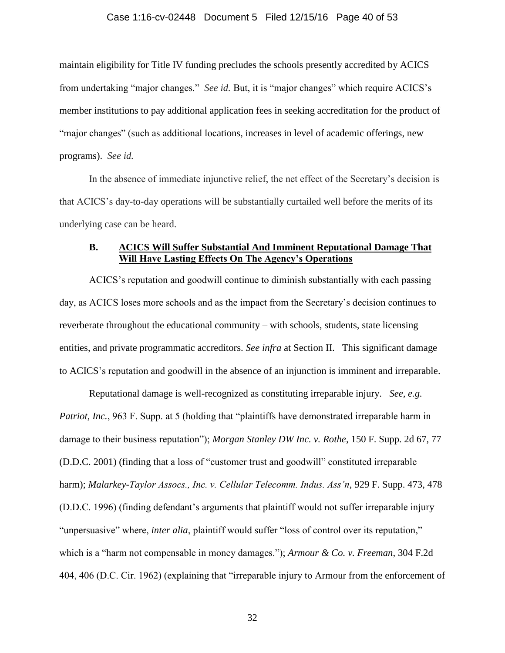#### Case 1:16-cv-02448 Document 5 Filed 12/15/16 Page 40 of 53

maintain eligibility for Title IV funding precludes the schools presently accredited by ACICS from undertaking "major changes." *See id.* But, it is "major changes" which require ACICS's member institutions to pay additional application fees in seeking accreditation for the product of "major changes" (such as additional locations, increases in level of academic offerings, new programs). *See id.*

In the absence of immediate injunctive relief, the net effect of the Secretary's decision is that ACICS's day-to-day operations will be substantially curtailed well before the merits of its underlying case can be heard.

## <span id="page-39-0"></span>**B. ACICS Will Suffer Substantial And Imminent Reputational Damage That Will Have Lasting Effects On The Agency's Operations**

ACICS's reputation and goodwill continue to diminish substantially with each passing day, as ACICS loses more schools and as the impact from the Secretary's decision continues to reverberate throughout the educational community – with schools, students, state licensing entities, and private programmatic accreditors. *See infra* at Section II. This significant damage to ACICS's reputation and goodwill in the absence of an injunction is imminent and irreparable.

<span id="page-39-4"></span><span id="page-39-3"></span><span id="page-39-2"></span><span id="page-39-1"></span>Reputational damage is well-recognized as constituting irreparable injury. *See, e.g. Patriot, Inc.*, 963 F. Supp. at 5 (holding that "plaintiffs have demonstrated irreparable harm in damage to their business reputation"); *Morgan Stanley DW Inc. v. Rothe*, 150 F. Supp. 2d 67, 77 (D.D.C. 2001) (finding that a loss of "customer trust and goodwill" constituted irreparable harm); *Malarkey-Taylor Assocs., Inc. v. Cellular Telecomm. Indus. Ass'n*, 929 F. Supp. 473, 478 (D.D.C. 1996) (finding defendant's arguments that plaintiff would not suffer irreparable injury "unpersuasive" where, *inter alia*, plaintiff would suffer "loss of control over its reputation," which is a "harm not compensable in money damages."); *Armour & Co. v. Freeman*, 304 F.2d 404, 406 (D.C. Cir. 1962) (explaining that "irreparable injury to Armour from the enforcement of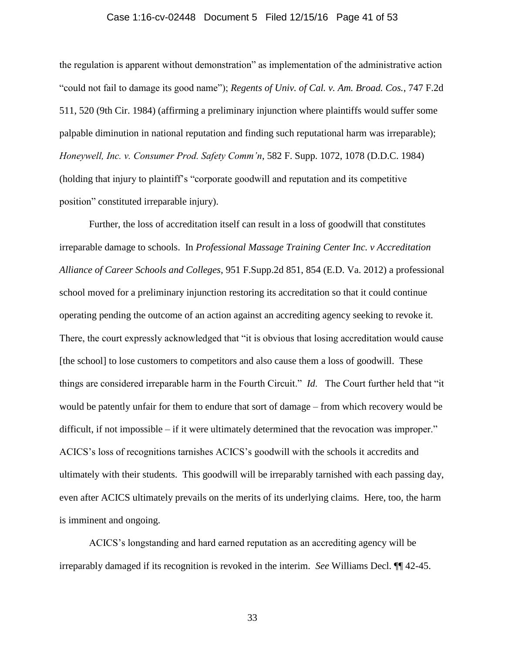#### <span id="page-40-2"></span>Case 1:16-cv-02448 Document 5 Filed 12/15/16 Page 41 of 53

the regulation is apparent without demonstration" as implementation of the administrative action "could not fail to damage its good name"); *Regents of Univ. of Cal. v. Am. Broad. Cos.*, 747 F.2d 511, 520 (9th Cir. 1984) (affirming a preliminary injunction where plaintiffs would suffer some palpable diminution in national reputation and finding such reputational harm was irreparable); *Honeywell, Inc. v. Consumer Prod. Safety Comm'n*, 582 F. Supp. 1072, 1078 (D.D.C. 1984) (holding that injury to plaintiff's "corporate goodwill and reputation and its competitive position" constituted irreparable injury).

<span id="page-40-1"></span><span id="page-40-0"></span>Further, the loss of accreditation itself can result in a loss of goodwill that constitutes irreparable damage to schools. In *Professional Massage Training Center Inc. v Accreditation Alliance of Career Schools and Colleges*, 951 F.Supp.2d 851, 854 (E.D. Va. 2012) a professional school moved for a preliminary injunction restoring its accreditation so that it could continue operating pending the outcome of an action against an accrediting agency seeking to revoke it. There, the court expressly acknowledged that "it is obvious that losing accreditation would cause [the school] to lose customers to competitors and also cause them a loss of goodwill. These things are considered irreparable harm in the Fourth Circuit." *Id*. The Court further held that "it would be patently unfair for them to endure that sort of damage – from which recovery would be difficult, if not impossible – if it were ultimately determined that the revocation was improper." ACICS's loss of recognitions tarnishes ACICS's goodwill with the schools it accredits and ultimately with their students. This goodwill will be irreparably tarnished with each passing day, even after ACICS ultimately prevails on the merits of its underlying claims. Here, too, the harm is imminent and ongoing.

ACICS's longstanding and hard earned reputation as an accrediting agency will be irreparably damaged if its recognition is revoked in the interim. *See* Williams Decl. ¶¶ 42-45.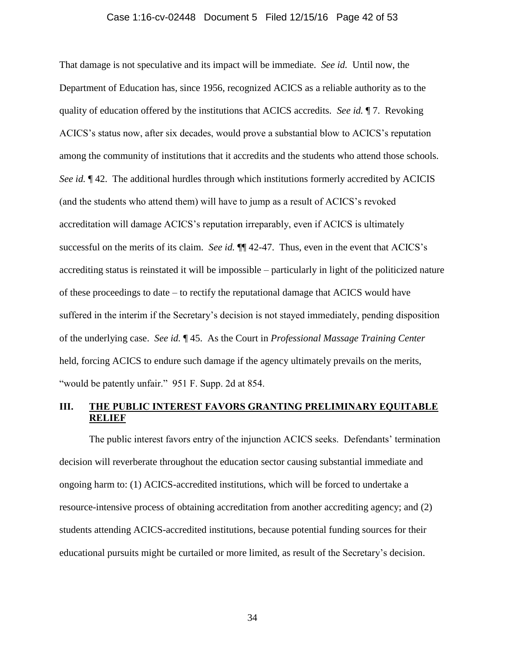#### Case 1:16-cv-02448 Document 5 Filed 12/15/16 Page 42 of 53

That damage is not speculative and its impact will be immediate. *See id.* Until now, the Department of Education has, since 1956, recognized ACICS as a reliable authority as to the quality of education offered by the institutions that ACICS accredits. *See id.* ¶ 7. Revoking ACICS's status now, after six decades, would prove a substantial blow to ACICS's reputation among the community of institutions that it accredits and the students who attend those schools. *See id.*  $\sqrt{942}$ . The additional hurdles through which institutions formerly accredited by ACICIS (and the students who attend them) will have to jump as a result of ACICS's revoked accreditation will damage ACICS's reputation irreparably, even if ACICS is ultimately successful on the merits of its claim. *See id.* ¶¶ 42-47. Thus, even in the event that ACICS's accrediting status is reinstated it will be impossible – particularly in light of the politicized nature of these proceedings to date – to rectify the reputational damage that ACICS would have suffered in the interim if the Secretary's decision is not stayed immediately, pending disposition of the underlying case. *See id.* ¶ 45. As the Court in *Professional Massage Training Center*  held, forcing ACICS to endure such damage if the agency ultimately prevails on the merits, "would be patently unfair." 951 F. Supp. 2d at 854.

### <span id="page-41-1"></span><span id="page-41-0"></span>**III. THE PUBLIC INTEREST FAVORS GRANTING PRELIMINARY EQUITABLE RELIEF**

The public interest favors entry of the injunction ACICS seeks. Defendants' termination decision will reverberate throughout the education sector causing substantial immediate and ongoing harm to: (1) ACICS-accredited institutions, which will be forced to undertake a resource-intensive process of obtaining accreditation from another accrediting agency; and (2) students attending ACICS-accredited institutions, because potential funding sources for their educational pursuits might be curtailed or more limited, as result of the Secretary's decision.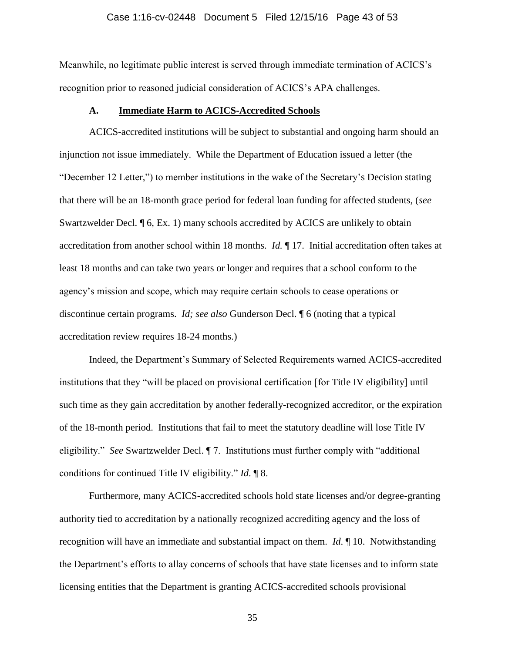#### Case 1:16-cv-02448 Document 5 Filed 12/15/16 Page 43 of 53

Meanwhile, no legitimate public interest is served through immediate termination of ACICS's recognition prior to reasoned judicial consideration of ACICS's APA challenges.

### **A. Immediate Harm to ACICS-Accredited Schools**

<span id="page-42-0"></span>ACICS-accredited institutions will be subject to substantial and ongoing harm should an injunction not issue immediately. While the Department of Education issued a letter (the "December 12 Letter,") to member institutions in the wake of the Secretary's Decision stating that there will be an 18-month grace period for federal loan funding for affected students, (*see*  Swartzwelder Decl. ¶ 6, Ex. 1) many schools accredited by ACICS are unlikely to obtain accreditation from another school within 18 months. *Id.* ¶ 17. Initial accreditation often takes at least 18 months and can take two years or longer and requires that a school conform to the agency's mission and scope, which may require certain schools to cease operations or discontinue certain programs. *Id; see also* Gunderson Decl. ¶ 6 (noting that a typical accreditation review requires 18-24 months.)

Indeed, the Department's Summary of Selected Requirements warned ACICS-accredited institutions that they "will be placed on provisional certification [for Title IV eligibility] until such time as they gain accreditation by another federally-recognized accreditor, or the expiration of the 18-month period. Institutions that fail to meet the statutory deadline will lose Title IV eligibility." *See* Swartzwelder Decl. ¶ 7. Institutions must further comply with "additional conditions for continued Title IV eligibility." *Id*. ¶ 8.

Furthermore, many ACICS-accredited schools hold state licenses and/or degree-granting authority tied to accreditation by a nationally recognized accrediting agency and the loss of recognition will have an immediate and substantial impact on them. *Id*. ¶ 10. Notwithstanding the Department's efforts to allay concerns of schools that have state licenses and to inform state licensing entities that the Department is granting ACICS-accredited schools provisional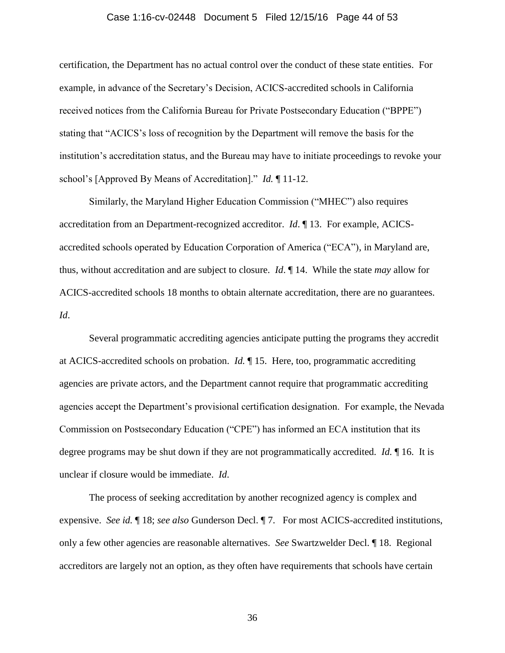#### Case 1:16-cv-02448 Document 5 Filed 12/15/16 Page 44 of 53

certification, the Department has no actual control over the conduct of these state entities. For example, in advance of the Secretary's Decision, ACICS-accredited schools in California received notices from the California Bureau for Private Postsecondary Education ("BPPE") stating that "ACICS's loss of recognition by the Department will remove the basis for the institution's accreditation status, and the Bureau may have to initiate proceedings to revoke your school's [Approved By Means of Accreditation]." *Id.* ¶ 11-12.

Similarly, the Maryland Higher Education Commission ("MHEC") also requires accreditation from an Department-recognized accreditor. *Id*. ¶ 13. For example, ACICSaccredited schools operated by Education Corporation of America ("ECA"), in Maryland are, thus, without accreditation and are subject to closure. *Id*. ¶ 14. While the state *may* allow for ACICS-accredited schools 18 months to obtain alternate accreditation, there are no guarantees. *Id*.

Several programmatic accrediting agencies anticipate putting the programs they accredit at ACICS-accredited schools on probation. *Id.* ¶ 15. Here, too, programmatic accrediting agencies are private actors, and the Department cannot require that programmatic accrediting agencies accept the Department's provisional certification designation. For example, the Nevada Commission on Postsecondary Education ("CPE") has informed an ECA institution that its degree programs may be shut down if they are not programmatically accredited. *Id.* ¶ 16. It is unclear if closure would be immediate. *Id*.

The process of seeking accreditation by another recognized agency is complex and expensive. *See id.* ¶ 18; *see also* Gunderson Decl. ¶ 7. For most ACICS-accredited institutions, only a few other agencies are reasonable alternatives. *See* Swartzwelder Decl. ¶ 18. Regional accreditors are largely not an option, as they often have requirements that schools have certain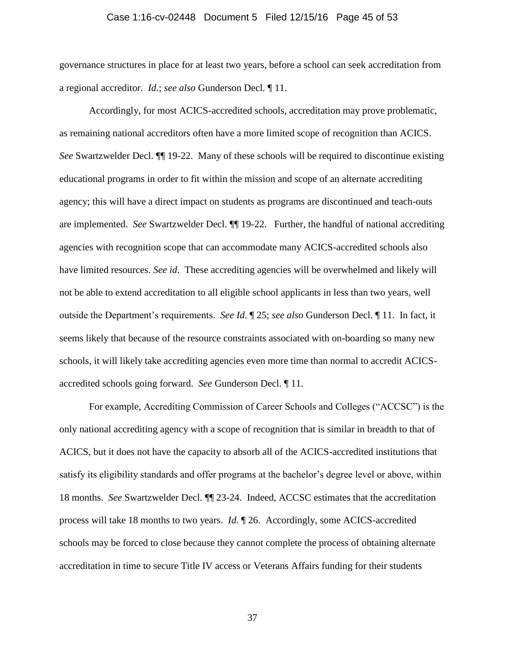#### Case 1:16-cv-02448 Document 5 Filed 12/15/16 Page 45 of 53

governance structures in place for at least two years, before a school can seek accreditation from a regional accreditor. *Id.*; *see also* Gunderson Decl. ¶ 11.

Accordingly, for most ACICS-accredited schools, accreditation may prove problematic, as remaining national accreditors often have a more limited scope of recognition than ACICS. *See* Swartzwelder Decl. ¶¶ 19-22. Many of these schools will be required to discontinue existing educational programs in order to fit within the mission and scope of an alternate accrediting agency; this will have a direct impact on students as programs are discontinued and teach-outs are implemented. *See* Swartzwelder Decl. ¶¶ 19-22. Further, the handful of national accrediting agencies with recognition scope that can accommodate many ACICS-accredited schools also have limited resources. *See id*. These accrediting agencies will be overwhelmed and likely will not be able to extend accreditation to all eligible school applicants in less than two years, well outside the Department's requirements. *See Id*. ¶ 25; *see also* Gunderson Decl. ¶ 11. In fact, it seems likely that because of the resource constraints associated with on-boarding so many new schools, it will likely take accrediting agencies even more time than normal to accredit ACICSaccredited schools going forward. *See* Gunderson Decl. ¶ 11.

For example, Accrediting Commission of Career Schools and Colleges ("ACCSC") is the only national accrediting agency with a scope of recognition that is similar in breadth to that of ACICS, but it does not have the capacity to absorb all of the ACICS-accredited institutions that satisfy its eligibility standards and offer programs at the bachelor's degree level or above, within 18 months. *See* Swartzwelder Decl. ¶¶ 23-24. Indeed, ACCSC estimates that the accreditation process will take 18 months to two years. *Id.* ¶ 26. Accordingly, some ACICS-accredited schools may be forced to close because they cannot complete the process of obtaining alternate accreditation in time to secure Title IV access or Veterans Affairs funding for their students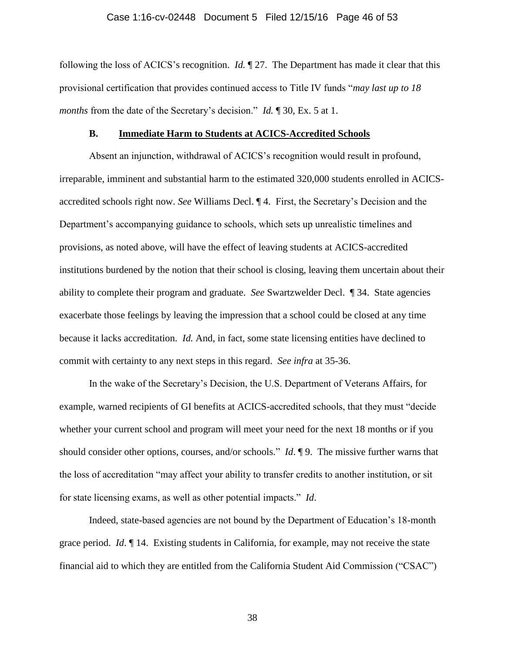#### Case 1:16-cv-02448 Document 5 Filed 12/15/16 Page 46 of 53

following the loss of ACICS's recognition. *Id.* ¶ 27. The Department has made it clear that this provisional certification that provides continued access to Title IV funds "*may last up to 18 months* from the date of the Secretary's decision." *Id.* 1 30, Ex. 5 at 1.

#### **B. Immediate Harm to Students at ACICS-Accredited Schools**

<span id="page-45-0"></span>Absent an injunction, withdrawal of ACICS's recognition would result in profound, irreparable, imminent and substantial harm to the estimated 320,000 students enrolled in ACICSaccredited schools right now. *See* Williams Decl. ¶ 4. First, the Secretary's Decision and the Department's accompanying guidance to schools, which sets up unrealistic timelines and provisions, as noted above, will have the effect of leaving students at ACICS-accredited institutions burdened by the notion that their school is closing, leaving them uncertain about their ability to complete their program and graduate. *See* Swartzwelder Decl. ¶ 34. State agencies exacerbate those feelings by leaving the impression that a school could be closed at any time because it lacks accreditation. *Id.* And, in fact, some state licensing entities have declined to commit with certainty to any next steps in this regard. *See infra* at 35-36.

In the wake of the Secretary's Decision, the U.S. Department of Veterans Affairs, for example, warned recipients of GI benefits at ACICS-accredited schools, that they must "decide whether your current school and program will meet your need for the next 18 months or if you should consider other options, courses, and/or schools." *Id*. ¶ 9. The missive further warns that the loss of accreditation "may affect your ability to transfer credits to another institution, or sit for state licensing exams, as well as other potential impacts." *Id*.

Indeed, state-based agencies are not bound by the Department of Education's 18-month grace period. *Id*. ¶ 14. Existing students in California, for example, may not receive the state financial aid to which they are entitled from the California Student Aid Commission ("CSAC")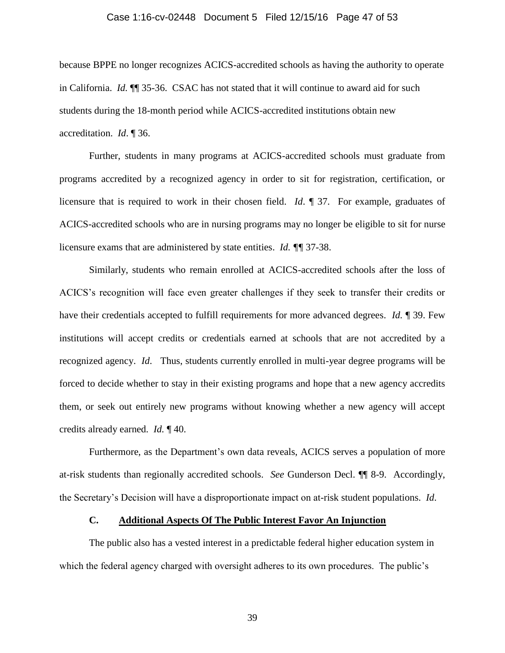#### Case 1:16-cv-02448 Document 5 Filed 12/15/16 Page 47 of 53

because BPPE no longer recognizes ACICS-accredited schools as having the authority to operate in California. *Id.* ¶¶ 35-36. CSAC has not stated that it will continue to award aid for such students during the 18-month period while ACICS-accredited institutions obtain new accreditation. *Id*. ¶ 36.

Further, students in many programs at ACICS-accredited schools must graduate from programs accredited by a recognized agency in order to sit for registration, certification, or licensure that is required to work in their chosen field. *Id*. ¶ 37. For example, graduates of ACICS-accredited schools who are in nursing programs may no longer be eligible to sit for nurse licensure exams that are administered by state entities. *Id. ¶¶* 37-38.

Similarly, students who remain enrolled at ACICS-accredited schools after the loss of ACICS's recognition will face even greater challenges if they seek to transfer their credits or have their credentials accepted to fulfill requirements for more advanced degrees. *Id.* ¶ 39. Few institutions will accept credits or credentials earned at schools that are not accredited by a recognized agency. *Id*. Thus, students currently enrolled in multi-year degree programs will be forced to decide whether to stay in their existing programs and hope that a new agency accredits them, or seek out entirely new programs without knowing whether a new agency will accept credits already earned. *Id.* ¶ 40.

Furthermore, as the Department's own data reveals, ACICS serves a population of more at-risk students than regionally accredited schools. *See* Gunderson Decl. ¶¶ 8-9. Accordingly, the Secretary's Decision will have a disproportionate impact on at-risk student populations. *Id*.

# **C. Additional Aspects Of The Public Interest Favor An Injunction**

<span id="page-46-0"></span>The public also has a vested interest in a predictable federal higher education system in which the federal agency charged with oversight adheres to its own procedures. The public's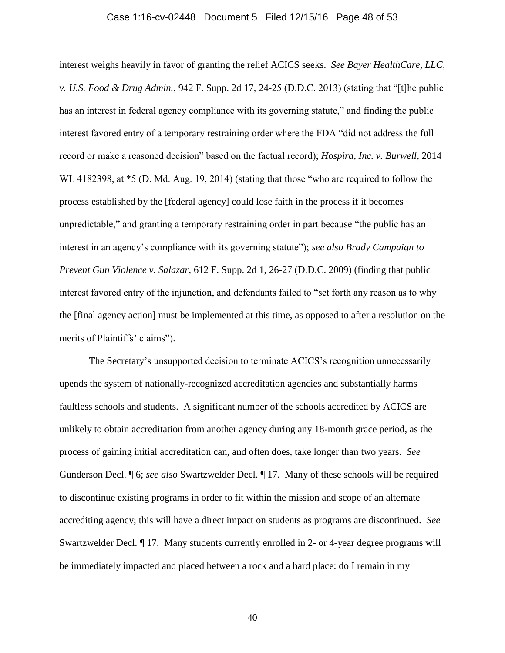#### <span id="page-47-2"></span><span id="page-47-0"></span>Case 1:16-cv-02448 Document 5 Filed 12/15/16 Page 48 of 53

interest weighs heavily in favor of granting the relief ACICS seeks. *See Bayer HealthCare, LLC, v. U.S. Food & Drug Admin.*, 942 F. Supp. 2d 17, 24-25 (D.D.C. 2013) (stating that "[t]he public has an interest in federal agency compliance with its governing statute," and finding the public interest favored entry of a temporary restraining order where the FDA "did not address the full record or make a reasoned decision" based on the factual record); *Hospira, Inc. v. Burwell*, 2014 WL 4182398, at  $*$ 5 (D. Md. Aug. 19, 2014) (stating that those "who are required to follow the process established by the [federal agency] could lose faith in the process if it becomes unpredictable," and granting a temporary restraining order in part because "the public has an interest in an agency's compliance with its governing statute"); *see also Brady Campaign to Prevent Gun Violence v. Salazar*, 612 F. Supp. 2d 1, 26-27 (D.D.C. 2009) (finding that public interest favored entry of the injunction, and defendants failed to "set forth any reason as to why the [final agency action] must be implemented at this time, as opposed to after a resolution on the merits of Plaintiffs' claims").

<span id="page-47-1"></span>The Secretary's unsupported decision to terminate ACICS's recognition unnecessarily upends the system of nationally-recognized accreditation agencies and substantially harms faultless schools and students. A significant number of the schools accredited by ACICS are unlikely to obtain accreditation from another agency during any 18-month grace period, as the process of gaining initial accreditation can, and often does, take longer than two years. *See* Gunderson Decl. ¶ 6; *see also* Swartzwelder Decl. ¶ 17. Many of these schools will be required to discontinue existing programs in order to fit within the mission and scope of an alternate accrediting agency; this will have a direct impact on students as programs are discontinued. *See* Swartzwelder Decl. ¶ 17. Many students currently enrolled in 2- or 4-year degree programs will be immediately impacted and placed between a rock and a hard place: do I remain in my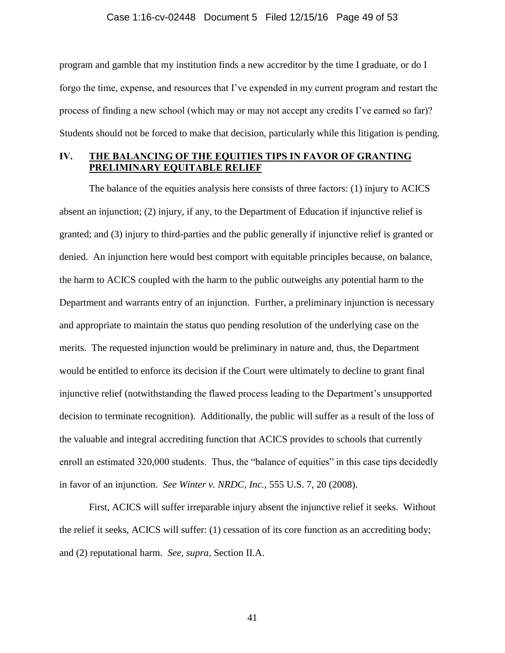#### Case 1:16-cv-02448 Document 5 Filed 12/15/16 Page 49 of 53

program and gamble that my institution finds a new accreditor by the time I graduate, or do I forgo the time, expense, and resources that I've expended in my current program and restart the process of finding a new school (which may or may not accept any credits I've earned so far)? Students should not be forced to make that decision, particularly while this litigation is pending.

# <span id="page-48-0"></span>**IV. THE BALANCING OF THE EQUITIES TIPS IN FAVOR OF GRANTING PRELIMINARY EQUITABLE RELIEF**

The balance of the equities analysis here consists of three factors: (1) injury to ACICS absent an injunction; (2) injury, if any, to the Department of Education if injunctive relief is granted; and (3) injury to third-parties and the public generally if injunctive relief is granted or denied. An injunction here would best comport with equitable principles because, on balance, the harm to ACICS coupled with the harm to the public outweighs any potential harm to the Department and warrants entry of an injunction. Further, a preliminary injunction is necessary and appropriate to maintain the status quo pending resolution of the underlying case on the merits. The requested injunction would be preliminary in nature and, thus, the Department would be entitled to enforce its decision if the Court were ultimately to decline to grant final injunctive relief (notwithstanding the flawed process leading to the Department's unsupported decision to terminate recognition). Additionally, the public will suffer as a result of the loss of the valuable and integral accrediting function that ACICS provides to schools that currently enroll an estimated 320,000 students. Thus, the "balance of equities" in this case tips decidedly in favor of an injunction. *See Winter v. NRDC, Inc.*, 555 U.S. 7, 20 (2008).

<span id="page-48-1"></span>First, ACICS will suffer irreparable injury absent the injunctive relief it seeks. Without the relief it seeks, ACICS will suffer: (1) cessation of its core function as an accrediting body; and (2) reputational harm. *See, supra,* Section II.A.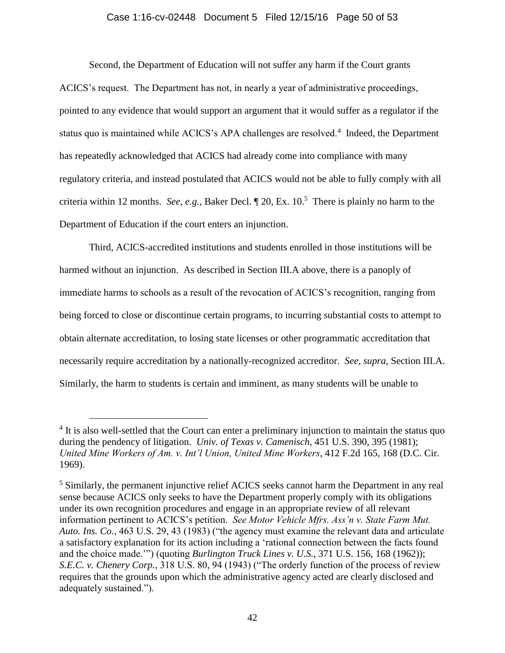#### Case 1:16-cv-02448 Document 5 Filed 12/15/16 Page 50 of 53

Second, the Department of Education will not suffer any harm if the Court grants ACICS's request. The Department has not, in nearly a year of administrative proceedings, pointed to any evidence that would support an argument that it would suffer as a regulator if the status quo is maintained while ACICS's APA challenges are resolved.<sup>4</sup> Indeed, the Department has repeatedly acknowledged that ACICS had already come into compliance with many regulatory criteria, and instead postulated that ACICS would not be able to fully comply with all criteria within 12 months. *See, e.g.*, Baker Decl. ¶ 20, Ex. 10. 5 There is plainly no harm to the Department of Education if the court enters an injunction.

Third, ACICS-accredited institutions and students enrolled in those institutions will be harmed without an injunction. As described in Section III.A above, there is a panoply of immediate harms to schools as a result of the revocation of ACICS's recognition, ranging from being forced to close or discontinue certain programs, to incurring substantial costs to attempt to obtain alternate accreditation, to losing state licenses or other programmatic accreditation that necessarily require accreditation by a nationally-recognized accreditor. *See, supra*, Section III.A. Similarly, the harm to students is certain and imminent, as many students will be unable to

<span id="page-49-3"></span><span id="page-49-0"></span> $\overline{a}$ 

<span id="page-49-2"></span><sup>&</sup>lt;sup>4</sup> It is also well-settled that the Court can enter a preliminary injunction to maintain the status quo during the pendency of litigation. *Univ. of Texas v. Camenisch*, 451 U.S. 390, 395 (1981); *United Mine Workers of Am. v. Int'l Union, United Mine Workers*, 412 F.2d 165, 168 (D.C. Cir. 1969).

<span id="page-49-1"></span><sup>&</sup>lt;sup>5</sup> Similarly, the permanent injunctive relief ACICS seeks cannot harm the Department in any real sense because ACICS only seeks to have the Department properly comply with its obligations under its own recognition procedures and engage in an appropriate review of all relevant information pertinent to ACICS's petition. *See Motor Vehicle Mfrs. Ass'n v. State Farm Mut. Auto. Ins. Co.*, 463 U.S. 29, 43 (1983) ("the agency must examine the relevant data and articulate a satisfactory explanation for its action including a 'rational connection between the facts found and the choice made.'") (quoting *Burlington Truck Lines v. U.S.*, 371 U.S. 156, 168 (1962)); *S.E.C. v. Chenery Corp.*, 318 U.S. 80, 94 (1943) ("The orderly function of the process of review requires that the grounds upon which the administrative agency acted are clearly disclosed and adequately sustained.").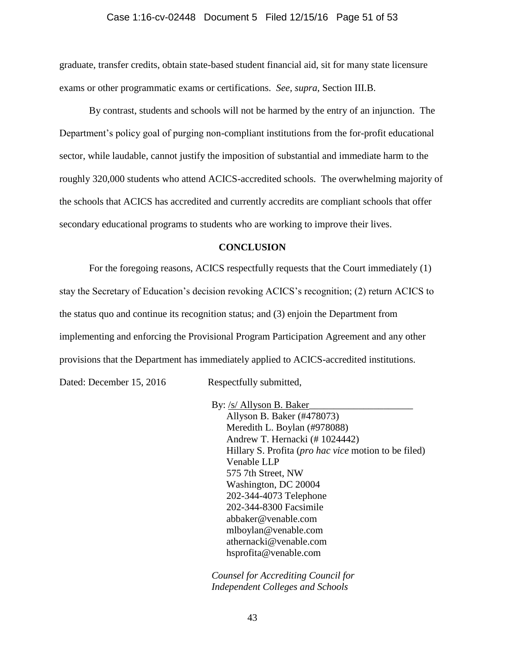#### Case 1:16-cv-02448 Document 5 Filed 12/15/16 Page 51 of 53

graduate, transfer credits, obtain state-based student financial aid, sit for many state licensure exams or other programmatic exams or certifications. *See, supra,* Section III.B.

By contrast, students and schools will not be harmed by the entry of an injunction. The Department's policy goal of purging non-compliant institutions from the for-profit educational sector, while laudable, cannot justify the imposition of substantial and immediate harm to the roughly 320,000 students who attend ACICS-accredited schools. The overwhelming majority of the schools that ACICS has accredited and currently accredits are compliant schools that offer secondary educational programs to students who are working to improve their lives.

#### **CONCLUSION**

<span id="page-50-0"></span>For the foregoing reasons, ACICS respectfully requests that the Court immediately (1) stay the Secretary of Education's decision revoking ACICS's recognition; (2) return ACICS to the status quo and continue its recognition status; and (3) enjoin the Department from implementing and enforcing the Provisional Program Participation Agreement and any other provisions that the Department has immediately applied to ACICS-accredited institutions. Dated: December 15, 2016 Respectfully submitted,

> By: /s/ Allyson B. Baker Allyson B. Baker (#478073) Meredith L. Boylan (#978088) Andrew T. Hernacki (# 1024442) Hillary S. Profita (*pro hac vice* motion to be filed) Venable LLP 575 7th Street, NW Washington, DC 20004 202-344-4073 Telephone 202-344-8300 Facsimile abbaker@venable.com mlboylan@venable.com athernacki@venable.com hsprofita@venable.com

*Counsel for Accrediting Council for Independent Colleges and Schools*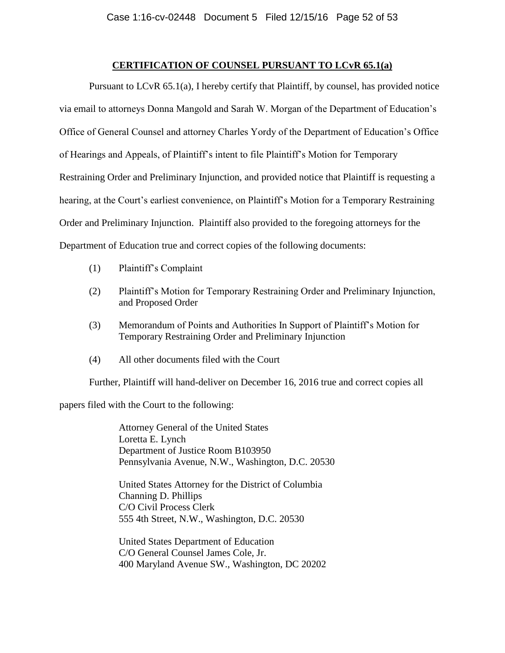### **CERTIFICATION OF COUNSEL PURSUANT TO LCvR 65.1(a)**

Pursuant to LCvR 65.1(a), I hereby certify that Plaintiff, by counsel, has provided notice via email to attorneys Donna Mangold and Sarah W. Morgan of the Department of Education's Office of General Counsel and attorney Charles Yordy of the Department of Education's Office of Hearings and Appeals, of Plaintiff's intent to file Plaintiff's Motion for Temporary Restraining Order and Preliminary Injunction, and provided notice that Plaintiff is requesting a hearing, at the Court's earliest convenience, on Plaintiff's Motion for a Temporary Restraining Order and Preliminary Injunction. Plaintiff also provided to the foregoing attorneys for the Department of Education true and correct copies of the following documents:

- (1) Plaintiff's Complaint
- (2) Plaintiff's Motion for Temporary Restraining Order and Preliminary Injunction, and Proposed Order
- (3) Memorandum of Points and Authorities In Support of Plaintiff's Motion for Temporary Restraining Order and Preliminary Injunction
- (4) All other documents filed with the Court

Further, Plaintiff will hand-deliver on December 16, 2016 true and correct copies all

papers filed with the Court to the following:

Attorney General of the United States Loretta E. Lynch Department of Justice Room B103950 Pennsylvania Avenue, N.W., Washington, D.C. 20530

United States Attorney for the District of Columbia Channing D. Phillips C/O Civil Process Clerk 555 4th Street, N.W., Washington, D.C. 20530

United States Department of Education C/O General Counsel James Cole, Jr. 400 Maryland Avenue SW., Washington, DC 20202